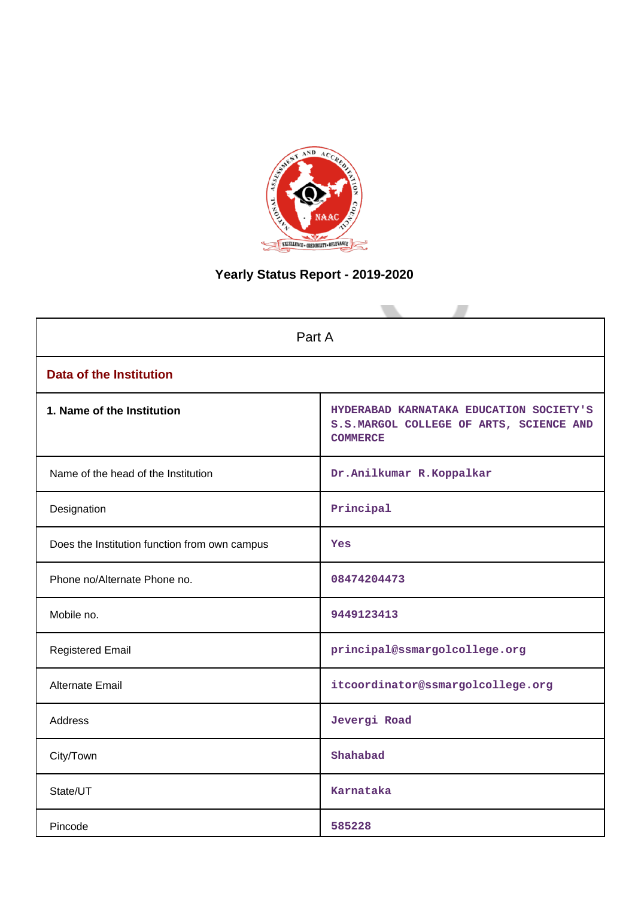

# **Yearly Status Report - 2019-2020**

| Part A                                        |                                                                                                       |  |  |
|-----------------------------------------------|-------------------------------------------------------------------------------------------------------|--|--|
| <b>Data of the Institution</b>                |                                                                                                       |  |  |
| 1. Name of the Institution                    | HYDERABAD KARNATAKA EDUCATION SOCIETY'S<br>S.S.MARGOL COLLEGE OF ARTS, SCIENCE AND<br><b>COMMERCE</b> |  |  |
| Name of the head of the Institution           | Dr.Anilkumar R.Koppalkar                                                                              |  |  |
| Designation                                   | Principal                                                                                             |  |  |
| Does the Institution function from own campus | Yes                                                                                                   |  |  |
| Phone no/Alternate Phone no.                  | 08474204473                                                                                           |  |  |
| Mobile no.                                    | 9449123413                                                                                            |  |  |
| <b>Registered Email</b>                       | principal@ssmargolcollege.org                                                                         |  |  |
| Alternate Email                               | itcoordinator@ssmargolcollege.org                                                                     |  |  |
| <b>Address</b>                                | Jevergi Road                                                                                          |  |  |
| City/Town                                     | Shahabad                                                                                              |  |  |
| State/UT                                      | Karnataka                                                                                             |  |  |
| Pincode                                       | 585228                                                                                                |  |  |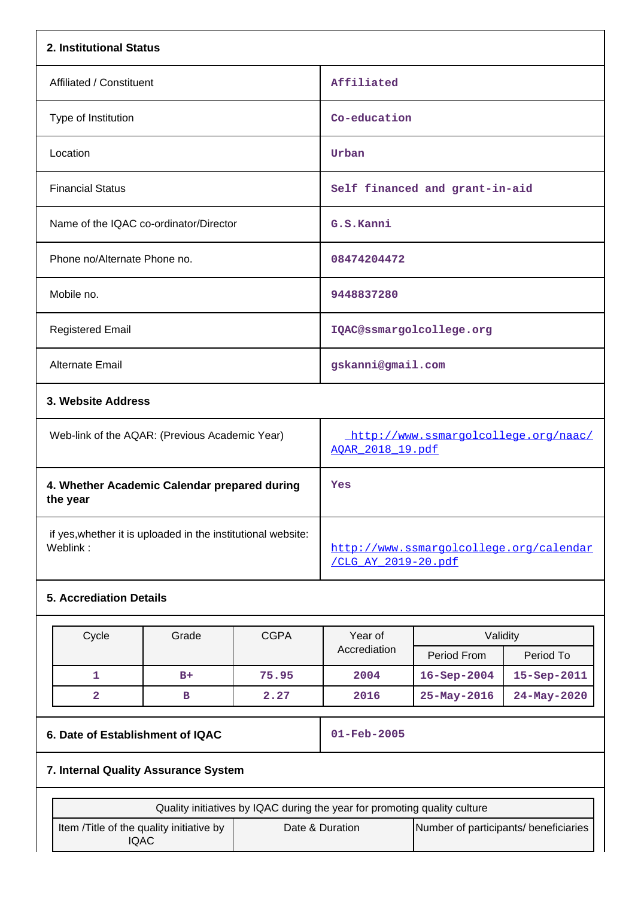| 2. Institutional Status                        |                                                          |  |  |
|------------------------------------------------|----------------------------------------------------------|--|--|
| Affiliated / Constituent                       | Affiliated                                               |  |  |
| Type of Institution                            | Co-education                                             |  |  |
| Location                                       | Urban                                                    |  |  |
| <b>Financial Status</b>                        | Self financed and grant-in-aid                           |  |  |
| Name of the IQAC co-ordinator/Director         | G.S.Kanni                                                |  |  |
| Phone no/Alternate Phone no.                   | 08474204472                                              |  |  |
| Mobile no.                                     | 9448837280                                               |  |  |
| <b>Registered Email</b>                        | IQAC@ssmargolcollege.org                                 |  |  |
| <b>Alternate Email</b>                         | gskanni@gmail.com                                        |  |  |
| 3. Website Address                             |                                                          |  |  |
| Web-link of the AQAR: (Previous Academic Year) | http://www.ssmargolcollege.org/naac/<br>AOAR 2018 19.pdf |  |  |

| 4. Whether Academic Calendar prepared during<br>the year     | Yes                                     |
|--------------------------------------------------------------|-----------------------------------------|
| if yes, whether it is uploaded in the institutional website: | http://www.ssmargolcollege.org/calendar |
| Weblink:                                                     | CLG AY 2019-20.pdf                      |

# **5. Accrediation Details**

| Cycle | Grade | <b>CGPA</b> | Year of<br>Accrediation | Validity           |                   |
|-------|-------|-------------|-------------------------|--------------------|-------------------|
|       |       |             |                         | Period From        | Period To         |
|       | $B+$  | 75.95       | 2004                    | $16 -$ Sep $-2004$ | $15 - Sep - 2011$ |
| 2     | в     | 2.27        | 2016                    | $25 - May - 2016$  | $24 - May - 2020$ |

# **6. Date of Establishment of IQAC 01-Feb-2005**

# **7. Internal Quality Assurance System**

| Quality initiatives by IQAC during the year for promoting quality culture |                 |                                       |  |
|---------------------------------------------------------------------------|-----------------|---------------------------------------|--|
| Item / Title of the quality initiative by<br>IQAC                         | Date & Duration | Number of participants/ beneficiaries |  |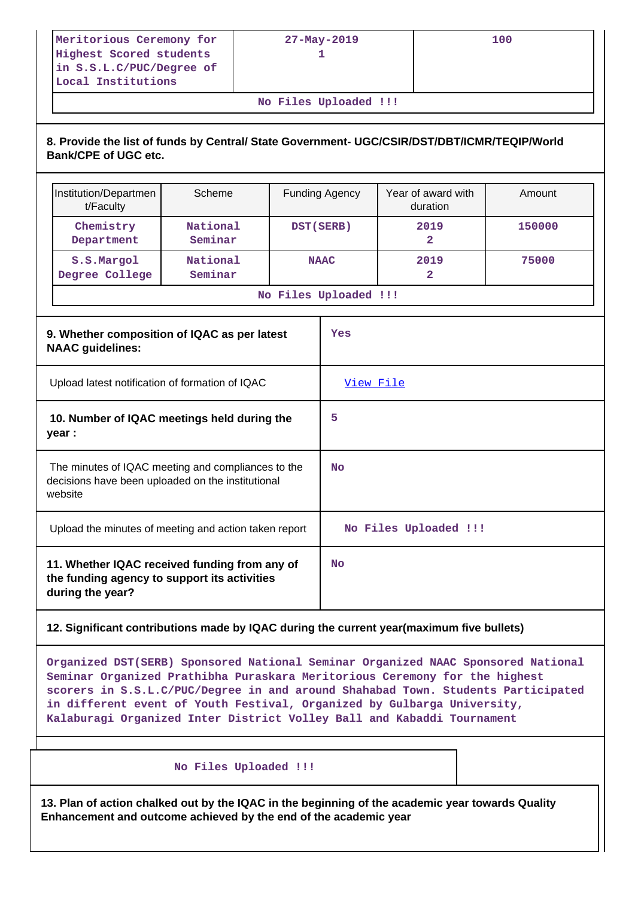| $27 - May - 2019$ | 100 |
|-------------------|-----|
|                   |     |
|                   |     |
|                   |     |
|                   |     |

**No Files Uploaded !!!**

# **8. Provide the list of funds by Central/ State Government- UGC/CSIR/DST/DBT/ICMR/TEQIP/World Bank/CPE of UGC etc.**

| Institution/Departmen<br>t/Faculty                                                                                 | Scheme              |             | <b>Funding Agency</b> | Year of award with<br>duration | Amount |
|--------------------------------------------------------------------------------------------------------------------|---------------------|-------------|-----------------------|--------------------------------|--------|
| Chemistry<br>Department                                                                                            | National<br>Seminar | DST (SERB)  |                       | 2019<br>2                      | 150000 |
| S.S.Margol<br>Degree College                                                                                       | National<br>Seminar | <b>NAAC</b> |                       | 2019<br>2                      | 75000  |
|                                                                                                                    |                     |             | No Files Uploaded !!! |                                |        |
| 9. Whether composition of IQAC as per latest<br><b>NAAC</b> guidelines:                                            |                     |             | Yes                   |                                |        |
| Upload latest notification of formation of IQAC                                                                    |                     |             | View File             |                                |        |
| 10. Number of IQAC meetings held during the<br>year :                                                              |                     |             | 5                     |                                |        |
| The minutes of IQAC meeting and compliances to the<br>decisions have been uploaded on the institutional<br>website |                     |             | <b>No</b>             |                                |        |
| Upload the minutes of meeting and action taken report                                                              |                     |             |                       | No Files Uploaded !!!          |        |
| 11. Whether IQAC received funding from any of<br>the funding agency to support its activities<br>during the year?  |                     |             | <b>No</b>             |                                |        |

# **12. Significant contributions made by IQAC during the current year(maximum five bullets)**

**Organized DST(SERB) Sponsored National Seminar Organized NAAC Sponsored National Seminar Organized Prathibha Puraskara Meritorious Ceremony for the highest scorers in S.S.L.C/PUC/Degree in and around Shahabad Town. Students Participated in different event of Youth Festival, Organized by Gulbarga University, Kalaburagi Organized Inter District Volley Ball and Kabaddi Tournament**

## **No Files Uploaded !!!**

**13. Plan of action chalked out by the IQAC in the beginning of the academic year towards Quality Enhancement and outcome achieved by the end of the academic year**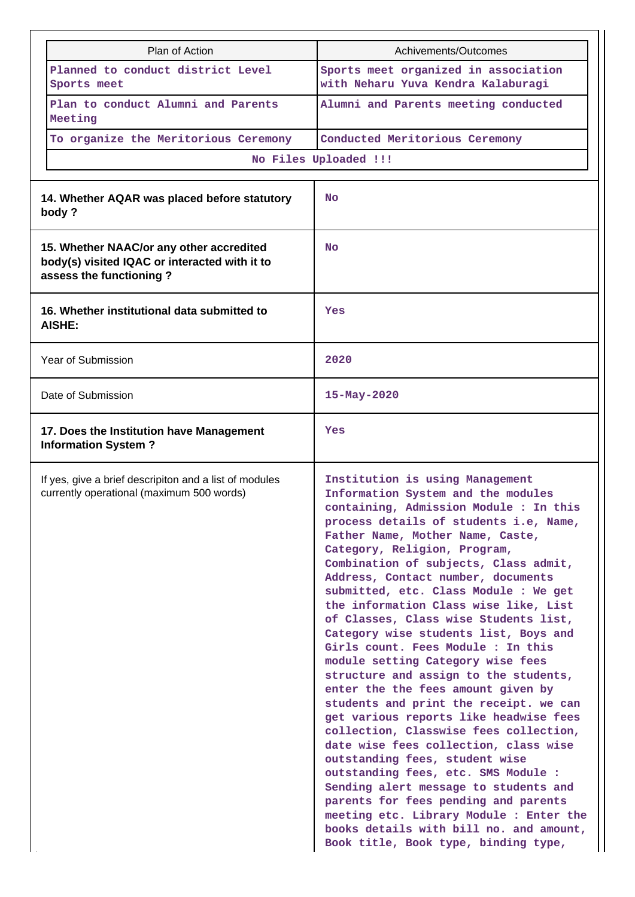| Plan of Action                                                                                                       | Achivements/Outcomes                                                                                                                                                                                                                                                                                                                                                                                                                                                                                                                                                                                                                                                                                                                                                                                                                                                                                                                                                                                                                                                                                      |
|----------------------------------------------------------------------------------------------------------------------|-----------------------------------------------------------------------------------------------------------------------------------------------------------------------------------------------------------------------------------------------------------------------------------------------------------------------------------------------------------------------------------------------------------------------------------------------------------------------------------------------------------------------------------------------------------------------------------------------------------------------------------------------------------------------------------------------------------------------------------------------------------------------------------------------------------------------------------------------------------------------------------------------------------------------------------------------------------------------------------------------------------------------------------------------------------------------------------------------------------|
| Planned to conduct district Level<br>Sports meet                                                                     | Sports meet organized in association<br>with Neharu Yuva Kendra Kalaburagi                                                                                                                                                                                                                                                                                                                                                                                                                                                                                                                                                                                                                                                                                                                                                                                                                                                                                                                                                                                                                                |
| Plan to conduct Alumni and Parents<br>Meeting                                                                        | Alumni and Parents meeting conducted                                                                                                                                                                                                                                                                                                                                                                                                                                                                                                                                                                                                                                                                                                                                                                                                                                                                                                                                                                                                                                                                      |
| To organize the Meritorious Ceremony                                                                                 | Conducted Meritorious Ceremony                                                                                                                                                                                                                                                                                                                                                                                                                                                                                                                                                                                                                                                                                                                                                                                                                                                                                                                                                                                                                                                                            |
|                                                                                                                      | No Files Uploaded !!!                                                                                                                                                                                                                                                                                                                                                                                                                                                                                                                                                                                                                                                                                                                                                                                                                                                                                                                                                                                                                                                                                     |
|                                                                                                                      |                                                                                                                                                                                                                                                                                                                                                                                                                                                                                                                                                                                                                                                                                                                                                                                                                                                                                                                                                                                                                                                                                                           |
| 14. Whether AQAR was placed before statutory<br>body?                                                                | No                                                                                                                                                                                                                                                                                                                                                                                                                                                                                                                                                                                                                                                                                                                                                                                                                                                                                                                                                                                                                                                                                                        |
| 15. Whether NAAC/or any other accredited<br>body(s) visited IQAC or interacted with it to<br>assess the functioning? | No                                                                                                                                                                                                                                                                                                                                                                                                                                                                                                                                                                                                                                                                                                                                                                                                                                                                                                                                                                                                                                                                                                        |
| 16. Whether institutional data submitted to<br><b>AISHE:</b>                                                         | Yes                                                                                                                                                                                                                                                                                                                                                                                                                                                                                                                                                                                                                                                                                                                                                                                                                                                                                                                                                                                                                                                                                                       |
| Year of Submission                                                                                                   | 2020                                                                                                                                                                                                                                                                                                                                                                                                                                                                                                                                                                                                                                                                                                                                                                                                                                                                                                                                                                                                                                                                                                      |
| Date of Submission                                                                                                   | 15-May-2020                                                                                                                                                                                                                                                                                                                                                                                                                                                                                                                                                                                                                                                                                                                                                                                                                                                                                                                                                                                                                                                                                               |
| 17. Does the Institution have Management<br><b>Information System?</b>                                               | Yes                                                                                                                                                                                                                                                                                                                                                                                                                                                                                                                                                                                                                                                                                                                                                                                                                                                                                                                                                                                                                                                                                                       |
| If yes, give a brief descripiton and a list of modules<br>currently operational (maximum 500 words)                  | Institution is using Management<br>Information System and the modules<br>containing, Admission Module : In this<br>process details of students i.e, Name,<br>Father Name, Mother Name, Caste,<br>Category, Religion, Program,<br>Combination of subjects, Class admit,<br>Address, Contact number, documents<br>submitted, etc. Class Module : We get<br>the information Class wise like, List<br>of Classes, Class wise Students list,<br>Category wise students list, Boys and<br>Girls count. Fees Module : In this<br>module setting Category wise fees<br>structure and assign to the students,<br>enter the the fees amount given by<br>students and print the receipt. we can<br>get various reports like headwise fees<br>collection, Classwise fees collection,<br>date wise fees collection, class wise<br>outstanding fees, student wise<br>outstanding fees, etc. SMS Module :<br>Sending alert message to students and<br>parents for fees pending and parents<br>meeting etc. Library Module : Enter the<br>books details with bill no. and amount,<br>Book title, Book type, binding type, |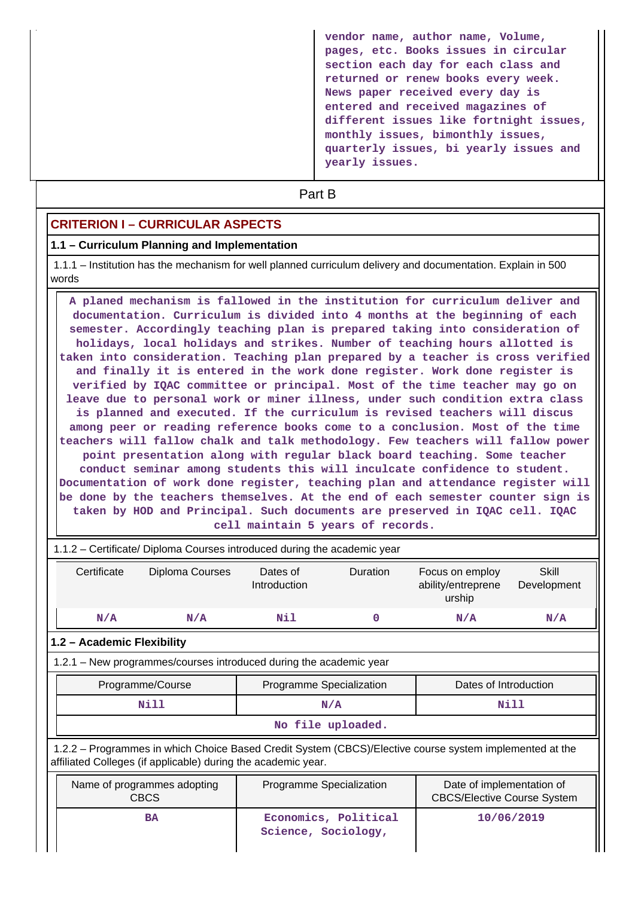**vendor name, author name, Volume, pages, etc. Books issues in circular section each day for each class and returned or renew books every week. News paper received every day is entered and received magazines of different issues like fortnight issues, monthly issues, bimonthly issues, quarterly issues, bi yearly issues and yearly issues.**

# **Part B**

# **CRITERION I – CURRICULAR ASPECTS**

#### **1.1 – Curriculum Planning and Implementation**

 1.1.1 – Institution has the mechanism for well planned curriculum delivery and documentation. Explain in 500 words

 **A planed mechanism is fallowed in the institution for curriculum deliver and documentation. Curriculum is divided into 4 months at the beginning of each semester. Accordingly teaching plan is prepared taking into consideration of holidays, local holidays and strikes. Number of teaching hours allotted is taken into consideration. Teaching plan prepared by a teacher is cross verified and finally it is entered in the work done register. Work done register is verified by IQAC committee or principal. Most of the time teacher may go on leave due to personal work or miner illness, under such condition extra class is planned and executed. If the curriculum is revised teachers will discus among peer or reading reference books come to a conclusion. Most of the time teachers will fallow chalk and talk methodology. Few teachers will fallow power point presentation along with regular black board teaching. Some teacher conduct seminar among students this will inculcate confidence to student. Documentation of work done register, teaching plan and attendance register will be done by the teachers themselves. At the end of each semester counter sign is taken by HOD and Principal. Such documents are preserved in IQAC cell. IQAC cell maintain 5 years of records.**

|                                                                                                                                           | 1.1.2 – Certificate/ Diploma Courses introduced during the academic year                                                                                                 |                  |                          |                      |                                                 |                      |
|-------------------------------------------------------------------------------------------------------------------------------------------|--------------------------------------------------------------------------------------------------------------------------------------------------------------------------|------------------|--------------------------|----------------------|-------------------------------------------------|----------------------|
|                                                                                                                                           | Certificate                                                                                                                                                              | Diploma Courses  | Dates of<br>Introduction | <b>Duration</b>      | Focus on employ<br>ability/entreprene<br>urship | Skill<br>Development |
|                                                                                                                                           | N/A                                                                                                                                                                      | N/A              | Nil                      | 0                    | N/A                                             | N/A                  |
|                                                                                                                                           | 1.2 - Academic Flexibility                                                                                                                                               |                  |                          |                      |                                                 |                      |
|                                                                                                                                           | 1.2.1 – New programmes/courses introduced during the academic year                                                                                                       |                  |                          |                      |                                                 |                      |
|                                                                                                                                           |                                                                                                                                                                          | Programme/Course | Programme Specialization |                      | Dates of Introduction                           |                      |
|                                                                                                                                           | Nill                                                                                                                                                                     |                  | N/A                      |                      | Nill                                            |                      |
|                                                                                                                                           | No file uploaded.                                                                                                                                                        |                  |                          |                      |                                                 |                      |
|                                                                                                                                           | 1.2.2 – Programmes in which Choice Based Credit System (CBCS)/Elective course system implemented at the<br>affiliated Colleges (if applicable) during the academic year. |                  |                          |                      |                                                 |                      |
| Programme Specialization<br>Name of programmes adopting<br>Date of implementation of<br><b>CBCS</b><br><b>CBCS/Elective Course System</b> |                                                                                                                                                                          |                  |                          |                      |                                                 |                      |
|                                                                                                                                           |                                                                                                                                                                          | <b>BA</b>        | Science, Sociology,      | Economics, Political |                                                 | 10/06/2019           |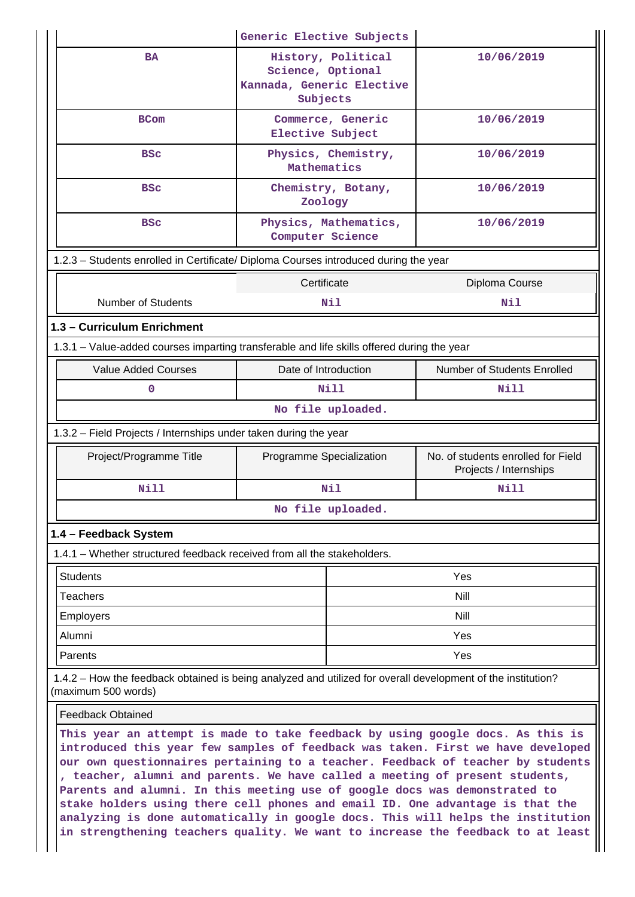|                                                                                                                                                                                                                                                                                                                                                                                                           | Generic Elective Subjects                                                        |  |                                                              |  |  |
|-----------------------------------------------------------------------------------------------------------------------------------------------------------------------------------------------------------------------------------------------------------------------------------------------------------------------------------------------------------------------------------------------------------|----------------------------------------------------------------------------------|--|--------------------------------------------------------------|--|--|
| <b>BA</b>                                                                                                                                                                                                                                                                                                                                                                                                 | History, Political<br>Science, Optional<br>Kannada, Generic Elective<br>Subjects |  | 10/06/2019                                                   |  |  |
| <b>BCom</b>                                                                                                                                                                                                                                                                                                                                                                                               | Commerce, Generic<br>Elective Subject                                            |  | 10/06/2019                                                   |  |  |
| <b>BSC</b>                                                                                                                                                                                                                                                                                                                                                                                                | Physics, Chemistry,<br>Mathematics                                               |  | 10/06/2019                                                   |  |  |
| <b>BSC</b>                                                                                                                                                                                                                                                                                                                                                                                                | Chemistry, Botany,<br>Zoology                                                    |  | 10/06/2019                                                   |  |  |
| <b>BSC</b>                                                                                                                                                                                                                                                                                                                                                                                                | Physics, Mathematics,<br>Computer Science                                        |  | 10/06/2019                                                   |  |  |
| 1.2.3 - Students enrolled in Certificate/ Diploma Courses introduced during the year                                                                                                                                                                                                                                                                                                                      |                                                                                  |  |                                                              |  |  |
| Certificate<br>Diploma Course                                                                                                                                                                                                                                                                                                                                                                             |                                                                                  |  |                                                              |  |  |
| <b>Number of Students</b>                                                                                                                                                                                                                                                                                                                                                                                 | Nil                                                                              |  | Nil                                                          |  |  |
| 1.3 - Curriculum Enrichment                                                                                                                                                                                                                                                                                                                                                                               |                                                                                  |  |                                                              |  |  |
| 1.3.1 – Value-added courses imparting transferable and life skills offered during the year                                                                                                                                                                                                                                                                                                                |                                                                                  |  |                                                              |  |  |
| <b>Value Added Courses</b>                                                                                                                                                                                                                                                                                                                                                                                | Date of Introduction                                                             |  | Number of Students Enrolled                                  |  |  |
| $\mathbf 0$                                                                                                                                                                                                                                                                                                                                                                                               | Nill                                                                             |  | Nill                                                         |  |  |
| No file uploaded.                                                                                                                                                                                                                                                                                                                                                                                         |                                                                                  |  |                                                              |  |  |
| 1.3.2 – Field Projects / Internships under taken during the year                                                                                                                                                                                                                                                                                                                                          |                                                                                  |  |                                                              |  |  |
| Project/Programme Title                                                                                                                                                                                                                                                                                                                                                                                   | Programme Specialization                                                         |  | No. of students enrolled for Field<br>Projects / Internships |  |  |
| <b>Nill</b>                                                                                                                                                                                                                                                                                                                                                                                               | Nil                                                                              |  | <b>Nill</b>                                                  |  |  |
|                                                                                                                                                                                                                                                                                                                                                                                                           | No file uploaded.                                                                |  |                                                              |  |  |
| 1.4 - Feedback System                                                                                                                                                                                                                                                                                                                                                                                     |                                                                                  |  |                                                              |  |  |
| 1.4.1 – Whether structured feedback received from all the stakeholders.                                                                                                                                                                                                                                                                                                                                   |                                                                                  |  |                                                              |  |  |
| <b>Students</b>                                                                                                                                                                                                                                                                                                                                                                                           |                                                                                  |  | Yes                                                          |  |  |
| Teachers                                                                                                                                                                                                                                                                                                                                                                                                  |                                                                                  |  | Nill                                                         |  |  |
| <b>Employers</b>                                                                                                                                                                                                                                                                                                                                                                                          |                                                                                  |  | Nill                                                         |  |  |
| Alumni                                                                                                                                                                                                                                                                                                                                                                                                    |                                                                                  |  | Yes                                                          |  |  |
| Parents                                                                                                                                                                                                                                                                                                                                                                                                   | Yes                                                                              |  |                                                              |  |  |
| 1.4.2 – How the feedback obtained is being analyzed and utilized for overall development of the institution?<br>(maximum 500 words)                                                                                                                                                                                                                                                                       |                                                                                  |  |                                                              |  |  |
| <b>Feedback Obtained</b>                                                                                                                                                                                                                                                                                                                                                                                  |                                                                                  |  |                                                              |  |  |
| This year an attempt is made to take feedback by using google docs. As this is<br>introduced this year few samples of feedback was taken. First we have developed<br>our own questionnaires pertaining to a teacher. Feedback of teacher by students<br>, teacher, alumni and parents. We have called a meeting of present students,<br>and alumni In this meeting use of google dogs was demonstrated to |                                                                                  |  |                                                              |  |  |

**Parents and alumni. In this meeting use of google docs was demonstrated to stake holders using there cell phones and email ID. One advantage is that the analyzing is done automatically in google docs. This will helps the institution in strengthening teachers quality. We want to increase the feedback to at least**

II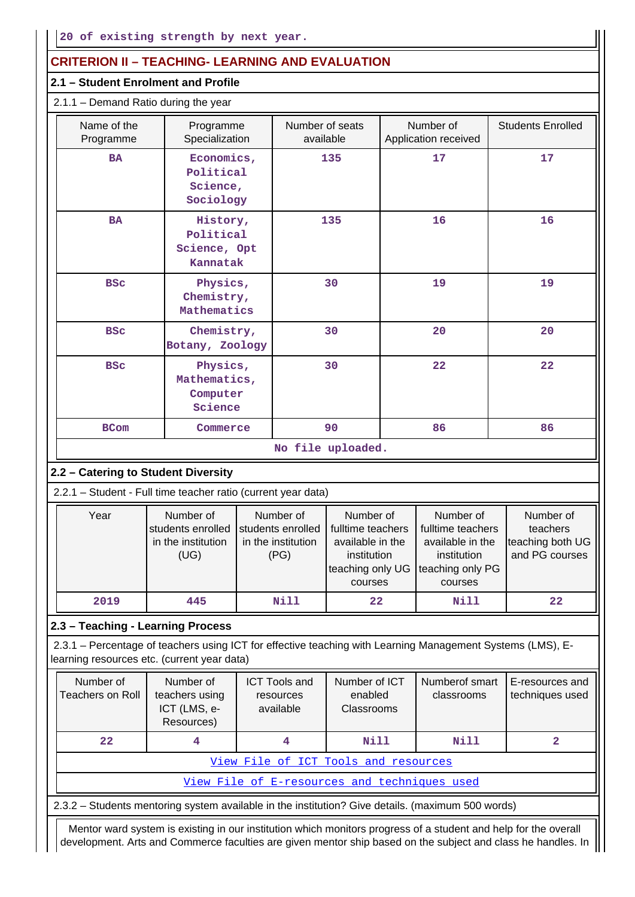# **CRITERION II – TEACHING- LEARNING AND EVALUATION**

## **2.1 – Student Enrolment and Profile**

| 2.1.1 - Demand Ratio during the year |  |
|--------------------------------------|--|
|                                      |  |

| Name of the<br>Programme | Programme<br>Specialization                       | Number of seats<br>available | Number of<br>Application received | <b>Students Enrolled</b> |
|--------------------------|---------------------------------------------------|------------------------------|-----------------------------------|--------------------------|
| <b>BA</b>                | Economics,<br>Political<br>Science,<br>Sociology  | 135                          | 17                                | 17                       |
| <b>BA</b>                | History,<br>Political<br>Science, Opt<br>Kannatak | 135                          | 16                                | 16                       |
| <b>BSC</b>               | Physics,<br>Chemistry,<br>Mathematics             | 30                           | 19                                | 19                       |
| <b>BSC</b>               | Chemistry,<br>Botany, Zoology                     | 30                           | 20                                | 20                       |
| <b>BSC</b>               | Physics,<br>Mathematics,<br>Computer<br>Science   | 30                           | 22                                | 22                       |
| <b>BCom</b>              | Commerce                                          | 90                           | 86                                | 86                       |
|                          |                                                   | No file uploaded.            |                                   |                          |

# **2.2 – Catering to Student Diversity**

2.2.1 – Student - Full time teacher ratio (current year data)

| Year | Number of<br>students enrolled students enrolled<br>in the institution<br>(UG) | Number of<br>in the institution<br>(PG) | Number of<br>fulltime teachers<br>available in the<br>institution<br>teaching only UG teaching only PG<br>courses | Number of<br>fulltime teachers<br>available in the<br>institution<br>courses | Number of<br>teachers<br>teaching both UG<br>and PG courses |
|------|--------------------------------------------------------------------------------|-----------------------------------------|-------------------------------------------------------------------------------------------------------------------|------------------------------------------------------------------------------|-------------------------------------------------------------|
| 2019 | 445                                                                            | Nill                                    | 22                                                                                                                | Nill                                                                         | 22                                                          |

# **2.3 – Teaching - Learning Process**

 2.3.1 – Percentage of teachers using ICT for effective teaching with Learning Management Systems (LMS), Elearning resources etc. (current year data)

| Number of<br>Teachers on Roll                | Number of<br>teachers using<br>ICT (LMS, e-<br>Resources) | <b>ICT Tools and</b><br>resources<br>available | Number of ICT<br>enabled<br><b>Classrooms</b> | Numberof smart<br>classrooms | E-resources and<br>techniques used |  |  |  |
|----------------------------------------------|-----------------------------------------------------------|------------------------------------------------|-----------------------------------------------|------------------------------|------------------------------------|--|--|--|
| 22 <sub>2</sub>                              |                                                           | Nill<br>Nill                                   |                                               |                              |                                    |  |  |  |
| View File of ICT Tools and resources         |                                                           |                                                |                                               |                              |                                    |  |  |  |
| View File of E-resources and techniques used |                                                           |                                                |                                               |                              |                                    |  |  |  |

2.3.2 – Students mentoring system available in the institution? Give details. (maximum 500 words)

 Mentor ward system is existing in our institution which monitors progress of a student and help for the overall development. Arts and Commerce faculties are given mentor ship based on the subject and class he handles. In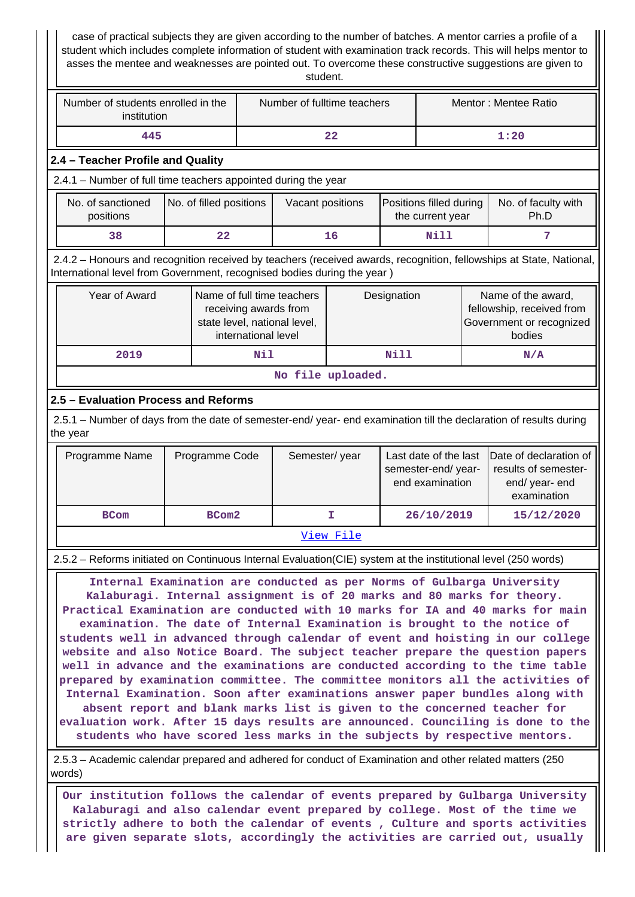case of practical subjects they are given according to the number of batches. A mentor carries a profile of a student which includes complete information of student with examination track records. This will helps mentor to asses the mentee and weaknesses are pointed out. To overcome these constructive suggestions are given to student.

| Number of students enrolled in the<br>institution | Number of fulltime teachers | Mentor: Mentee Ratio |
|---------------------------------------------------|-----------------------------|----------------------|
| 445                                               | 22                          | 1:20                 |

#### **2.4 – Teacher Profile and Quality**

2.4.1 – Number of full time teachers appointed during the year

| No. of sanctioned<br>positions | No. of filled positions | Vacant positions | Positions filled during<br>the current year | No. of faculty with<br>Ph.D |
|--------------------------------|-------------------------|------------------|---------------------------------------------|-----------------------------|
| 38                             | 22                      | 16               | Nill                                        |                             |

 2.4.2 – Honours and recognition received by teachers (received awards, recognition, fellowships at State, National, International level from Government, recognised bodies during the year )

| Year of Award     | Name of full time teachers<br>receiving awards from<br>state level, national level,<br>international level | Designation | Name of the award,<br>fellowship, received from<br>Government or recognized<br>bodies |  |  |  |  |  |
|-------------------|------------------------------------------------------------------------------------------------------------|-------------|---------------------------------------------------------------------------------------|--|--|--|--|--|
| 2019              | Nil                                                                                                        | Nill        | N/A                                                                                   |  |  |  |  |  |
| No file uploaded. |                                                                                                            |             |                                                                                       |  |  |  |  |  |

## **2.5 – Evaluation Process and Reforms**

 2.5.1 – Number of days from the date of semester-end/ year- end examination till the declaration of results during the year

| Programme Name | Programme Code    | Semester/year | semester-end/year-<br>end examination | Last date of the last Date of declaration of<br>results of semester-<br>end/year-end<br>examination |  |  |  |
|----------------|-------------------|---------------|---------------------------------------|-----------------------------------------------------------------------------------------------------|--|--|--|
| <b>BCom</b>    | BCom <sub>2</sub> |               | 26/10/2019                            | 15/12/2020                                                                                          |  |  |  |
| View File      |                   |               |                                       |                                                                                                     |  |  |  |

# 2.5.2 – Reforms initiated on Continuous Internal Evaluation(CIE) system at the institutional level (250 words)

 **Internal Examination are conducted as per Norms of Gulbarga University Kalaburagi. Internal assignment is of 20 marks and 80 marks for theory. Practical Examination are conducted with 10 marks for IA and 40 marks for main examination. The date of Internal Examination is brought to the notice of students well in advanced through calendar of event and hoisting in our college website and also Notice Board. The subject teacher prepare the question papers well in advance and the examinations are conducted according to the time table prepared by examination committee. The committee monitors all the activities of Internal Examination. Soon after examinations answer paper bundles along with absent report and blank marks list is given to the concerned teacher for evaluation work. After 15 days results are announced. Counciling is done to the students who have scored less marks in the subjects by respective mentors.**

 2.5.3 – Academic calendar prepared and adhered for conduct of Examination and other related matters (250 words)

 **Our institution follows the calendar of events prepared by Gulbarga University Kalaburagi and also calendar event prepared by college. Most of the time we strictly adhere to both the calendar of events , Culture and sports activities are given separate slots, accordingly the activities are carried out, usually**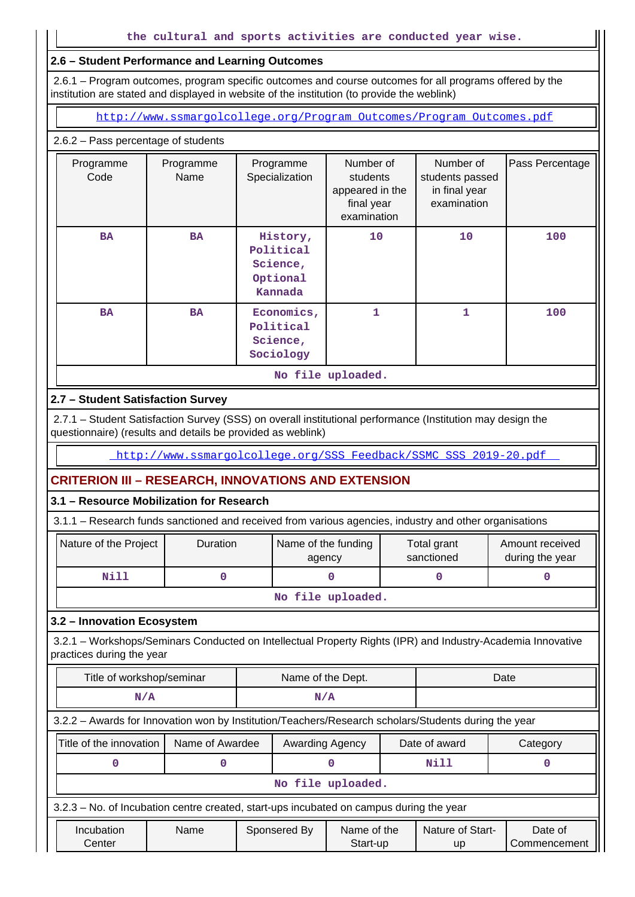## **2.6 – Student Performance and Learning Outcomes**

 2.6.1 – Program outcomes, program specific outcomes and course outcomes for all programs offered by the institution are stated and displayed in website of the institution (to provide the weblink)

[http://www.ssmargolcollege.org/Program\\_Outcomes/Program\\_Outcomes.pdf](http://www.ssmargolcollege.org/Program_Outcomes/Program_Outcomes.pdf)

## 2.6.2 – Pass percentage of students

|                   | Programme<br>Code | Programme<br>Name | Programme<br>Specialization                              | Number of<br>students<br>appeared in the<br>final year<br>examination | Number of<br>students passed<br>in final year<br>examination | Pass Percentage |  |  |
|-------------------|-------------------|-------------------|----------------------------------------------------------|-----------------------------------------------------------------------|--------------------------------------------------------------|-----------------|--|--|
|                   | <b>BA</b>         | <b>BA</b>         | History,<br>Political<br>Science,<br>Optional<br>Kannada | 10                                                                    | 10                                                           | 100             |  |  |
|                   | <b>BA</b>         | <b>BA</b>         | Economics,<br>Political<br>Science,<br>Sociology         | 1                                                                     | 1                                                            |                 |  |  |
| No file uploaded. |                   |                   |                                                          |                                                                       |                                                              |                 |  |  |

## **2.7 – Student Satisfaction Survey**

 2.7.1 – Student Satisfaction Survey (SSS) on overall institutional performance (Institution may design the questionnaire) (results and details be provided as weblink)

http://www.ssmargolcollege.org/SSS\_Feedback/SSMC\_SSS\_2019-20.pdf

## **CRITERION III – RESEARCH, INNOVATIONS AND EXTENSION**

## **3.1 – Resource Mobilization for Research**

|  |  |  |  |  | 3.1.1 - Research funds sanctioned and received from various agencies, industry and other organisations |
|--|--|--|--|--|--------------------------------------------------------------------------------------------------------|
|  |  |  |  |  |                                                                                                        |

| Nature of the Project | <b>Duration</b> | Name of the funding<br>agency | Total grant<br>sanctioned | Amount received<br>during the year |  |  |  |  |
|-----------------------|-----------------|-------------------------------|---------------------------|------------------------------------|--|--|--|--|
| Nill                  |                 |                               |                           |                                    |  |  |  |  |
| No file uploaded.     |                 |                               |                           |                                    |  |  |  |  |

#### **3.2 – Innovation Ecosystem**

 3.2.1 – Workshops/Seminars Conducted on Intellectual Property Rights (IPR) and Industry-Academia Innovative practices during the year

| Title of workshop/seminar                                                                            |                 | Name of the Dept. |                 |                         |               | Date                   |                         |  |
|------------------------------------------------------------------------------------------------------|-----------------|-------------------|-----------------|-------------------------|---------------|------------------------|-------------------------|--|
| N/A                                                                                                  |                 | N/A               |                 |                         |               |                        |                         |  |
| 3.2.2 - Awards for Innovation won by Institution/Teachers/Research scholars/Students during the year |                 |                   |                 |                         |               |                        |                         |  |
| Title of the innovation                                                                              | Name of Awardee |                   | Awarding Agency |                         | Date of award |                        | Category                |  |
|                                                                                                      |                 |                   |                 |                         |               | <b>Nill</b>            |                         |  |
|                                                                                                      |                 |                   |                 | No file uploaded.       |               |                        |                         |  |
| 3.2.3 – No. of Incubation centre created, start-ups incubated on campus during the year              |                 |                   |                 |                         |               |                        |                         |  |
| Incubation<br>Center                                                                                 | Name            |                   | Sponsered By    | Name of the<br>Start-up |               | Nature of Start-<br>up | Date of<br>Commencement |  |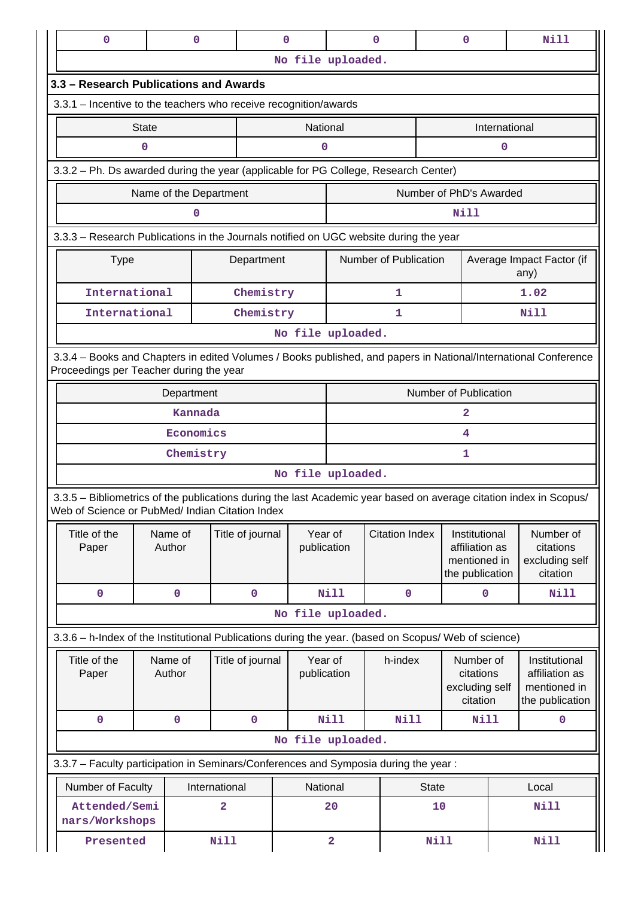|                          | 0                                                                                                                                                                     |              | 0                      |               |                            | $\mathbf 0$       |                         | 0                                                          |                       | $\mathbf 0$                              |               | <b>Nill</b>                                     |
|--------------------------|-----------------------------------------------------------------------------------------------------------------------------------------------------------------------|--------------|------------------------|---------------|----------------------------|-------------------|-------------------------|------------------------------------------------------------|-----------------------|------------------------------------------|---------------|-------------------------------------------------|
|                          |                                                                                                                                                                       |              |                        |               |                            | No file uploaded. |                         |                                                            |                       |                                          |               |                                                 |
|                          | 3.3 - Research Publications and Awards                                                                                                                                |              |                        |               |                            |                   |                         |                                                            |                       |                                          |               |                                                 |
|                          | 3.3.1 - Incentive to the teachers who receive recognition/awards                                                                                                      |              |                        |               |                            |                   |                         |                                                            |                       |                                          |               |                                                 |
|                          |                                                                                                                                                                       | <b>State</b> |                        |               |                            | National          |                         |                                                            |                       |                                          | International |                                                 |
|                          |                                                                                                                                                                       | 0            |                        |               |                            | 0                 |                         |                                                            |                       |                                          | 0             |                                                 |
|                          | 3.3.2 - Ph. Ds awarded during the year (applicable for PG College, Research Center)                                                                                   |              |                        |               |                            |                   |                         |                                                            |                       |                                          |               |                                                 |
|                          |                                                                                                                                                                       |              | Name of the Department |               |                            |                   | Number of PhD's Awarded |                                                            |                       |                                          |               |                                                 |
|                          |                                                                                                                                                                       |              | 0                      |               |                            |                   |                         |                                                            |                       | Nill                                     |               |                                                 |
|                          | 3.3.3 - Research Publications in the Journals notified on UGC website during the year                                                                                 |              |                        |               |                            |                   |                         |                                                            |                       |                                          |               |                                                 |
|                          | <b>Type</b>                                                                                                                                                           |              |                        |               | Department                 |                   |                         | Number of Publication<br>Average Impact Factor (if<br>any) |                       |                                          |               |                                                 |
|                          | International                                                                                                                                                         |              |                        |               | Chemistry                  |                   |                         | 1                                                          |                       |                                          |               | 1.02                                            |
|                          | International                                                                                                                                                         |              |                        |               | Chemistry                  |                   |                         | 1                                                          |                       |                                          |               | Nill                                            |
|                          |                                                                                                                                                                       |              |                        |               |                            | No file uploaded. |                         |                                                            |                       |                                          |               |                                                 |
|                          | 3.3.4 - Books and Chapters in edited Volumes / Books published, and papers in National/International Conference<br>Proceedings per Teacher during the year            |              |                        |               |                            |                   |                         |                                                            |                       |                                          |               |                                                 |
|                          | Department                                                                                                                                                            |              |                        |               |                            |                   |                         |                                                            | Number of Publication |                                          |               |                                                 |
|                          |                                                                                                                                                                       |              | Kannada                |               |                            |                   |                         |                                                            |                       | $\mathbf{2}$                             |               |                                                 |
|                          | Economics                                                                                                                                                             |              |                        |               |                            |                   |                         |                                                            |                       | 4                                        |               |                                                 |
|                          |                                                                                                                                                                       |              | Chemistry              |               |                            |                   |                         |                                                            |                       | 1                                        |               |                                                 |
|                          |                                                                                                                                                                       |              |                        |               |                            | No file uploaded. |                         |                                                            |                       |                                          |               |                                                 |
|                          | 3.3.5 - Bibliometrics of the publications during the last Academic year based on average citation index in Scopus/<br>Web of Science or PubMed/ Indian Citation Index |              |                        |               |                            |                   |                         |                                                            |                       |                                          |               |                                                 |
|                          | Title of the                                                                                                                                                          |              | Name of                |               | Title of journal           | Year of           |                         | <b>Citation Index</b>                                      |                       | Institutional                            |               | Number of                                       |
|                          | Paper                                                                                                                                                                 |              | Author                 |               |                            | publication       |                         |                                                            |                       | affiliation as<br>mentioned in           |               | citations<br>excluding self                     |
|                          |                                                                                                                                                                       |              |                        |               |                            |                   |                         |                                                            |                       | the publication                          |               | citation                                        |
|                          | $\mathbf 0$                                                                                                                                                           |              | $\mathbf 0$            |               | 0                          |                   | <b>Nill</b>             | $\mathbf 0$                                                |                       | $\mathbf 0$                              |               | <b>Nill</b>                                     |
|                          |                                                                                                                                                                       |              |                        |               |                            | No file uploaded. |                         |                                                            |                       |                                          |               |                                                 |
|                          | 3.3.6 - h-Index of the Institutional Publications during the year. (based on Scopus/ Web of science)                                                                  |              |                        |               |                            |                   |                         |                                                            |                       |                                          |               |                                                 |
|                          | Title of the<br>Paper                                                                                                                                                 |              | Name of<br>Author      |               | Title of journal           | publication       | Year of                 | h-index                                                    |                       | Number of<br>citations<br>excluding self |               | Institutional<br>affiliation as<br>mentioned in |
|                          |                                                                                                                                                                       |              |                        |               |                            |                   |                         |                                                            |                       | citation                                 |               | the publication                                 |
|                          | 0                                                                                                                                                                     |              | $\mathbf 0$            |               | 0                          |                   | <b>Nill</b>             | Nill                                                       |                       | Nill                                     |               | 0                                               |
|                          |                                                                                                                                                                       |              |                        |               |                            | No file uploaded. |                         |                                                            |                       |                                          |               |                                                 |
|                          | 3.3.7 - Faculty participation in Seminars/Conferences and Symposia during the year:                                                                                   |              |                        |               |                            |                   |                         |                                                            |                       |                                          |               |                                                 |
|                          | Number of Faculty                                                                                                                                                     |              |                        | International |                            | National          |                         |                                                            | <b>State</b>          |                                          |               | Local                                           |
|                          | Attended/Semi<br>nars/Workshops                                                                                                                                       |              |                        | 2             |                            |                   | 20                      |                                                            | 10                    |                                          |               | <b>Nill</b>                                     |
| <b>Nill</b><br>Presented |                                                                                                                                                                       |              |                        | $\mathbf{2}$  | <b>Nill</b><br><b>Nill</b> |                   |                         |                                                            |                       |                                          |               |                                                 |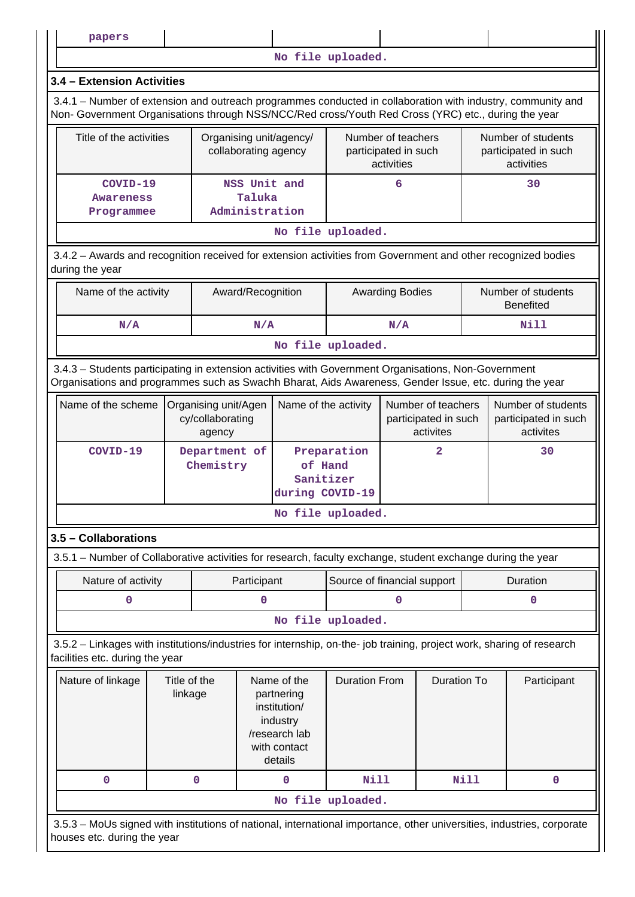**papers**

**No file uploaded.**

## **3.4 – Extension Activities**

 3.4.1 – Number of extension and outreach programmes conducted in collaboration with industry, community and Non- Government Organisations through NSS/NCC/Red cross/Youth Red Cross (YRC) etc., during the year

| Title of the activities | Organising unit/agency/<br>collaborating agency | Number of teachers<br>participated in such<br>activities | Number of students<br>participated in such<br>activities |  |  |  |  |  |
|-------------------------|-------------------------------------------------|----------------------------------------------------------|----------------------------------------------------------|--|--|--|--|--|
| COVID-19                | NSS Unit and                                    | ь                                                        | 30                                                       |  |  |  |  |  |
| <b>Awareness</b>        | Taluka                                          |                                                          |                                                          |  |  |  |  |  |
| Programmee              | Administration                                  |                                                          |                                                          |  |  |  |  |  |
| ata 141 a cualamada d   |                                                 |                                                          |                                                          |  |  |  |  |  |

**No file uploaded.**

 3.4.2 – Awards and recognition received for extension activities from Government and other recognized bodies during the year

| Name of the activity | Award/Recognition | <b>Awarding Bodies</b> | Number of students<br>Benefited |
|----------------------|-------------------|------------------------|---------------------------------|
| N/A                  | N/A               | N/A                    | Nill                            |
|                      |                   | No file uploaded.      |                                 |

 3.4.3 – Students participating in extension activities with Government Organisations, Non-Government Organisations and programmes such as Swachh Bharat, Aids Awareness, Gender Issue, etc. during the year

|          | Name of the scheme   Organising unit/Agen<br>cy/collaborating<br>agency | Name of the activity                                   | Number of teachers<br>participated in such<br>activites | Number of students<br>participated in such<br>activites |
|----------|-------------------------------------------------------------------------|--------------------------------------------------------|---------------------------------------------------------|---------------------------------------------------------|
| COVID-19 | Department of<br>Chemistry                                              | Preparation<br>of Hand<br>Sanitizer<br>during COVID-19 |                                                         | 30                                                      |

**No file uploaded.**

# **3.5 – Collaborations**

3.5.1 – Number of Collaborative activities for research, faculty exchange, student exchange during the year

|  | Nature of activity | Participant | Source of financial support | Duration |
|--|--------------------|-------------|-----------------------------|----------|
|  |                    |             |                             |          |
|  |                    |             | No file uploaded.           |          |

 3.5.2 – Linkages with institutions/industries for internship, on-the- job training, project work, sharing of research facilities etc. during the year

| Nature of linkage | Title of the<br>linkage | Name of the<br>partnering<br>institution/<br>industry<br>/research lab<br>with contact<br>details | <b>Duration From</b> | Duration To | Participant |  |  |  |
|-------------------|-------------------------|---------------------------------------------------------------------------------------------------|----------------------|-------------|-------------|--|--|--|
|                   | O                       | 0                                                                                                 | Nill                 | Nill        | 0           |  |  |  |
|                   | No file uploaded.       |                                                                                                   |                      |             |             |  |  |  |

 3.5.3 – MoUs signed with institutions of national, international importance, other universities, industries, corporate houses etc. during the year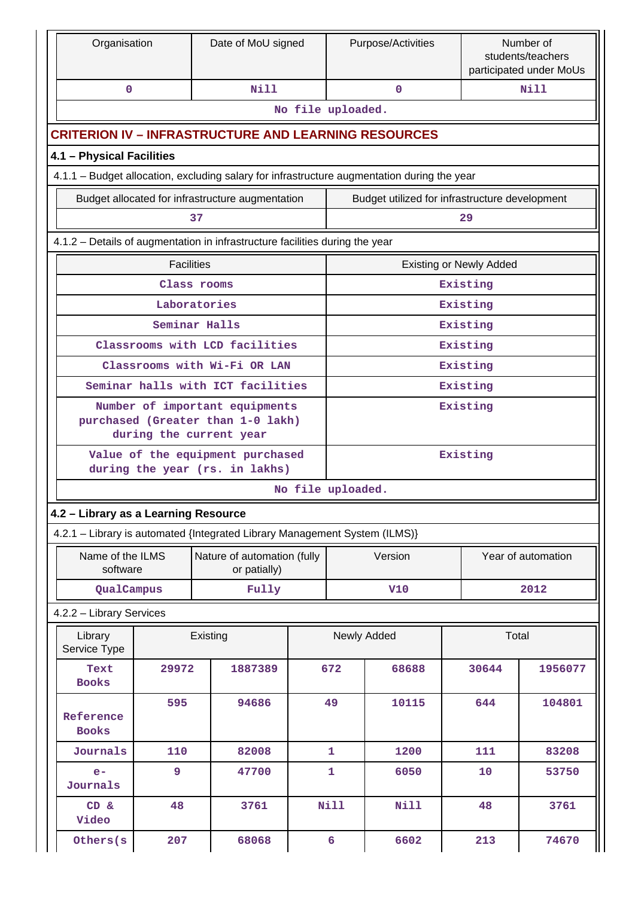|                           | Organisation                                        |       | Date of MoU signed                                                                             |                   | Number of<br>Purpose/Activities<br>students/teachers<br>participated under MoUs |                                                |  |          |                    |  |
|---------------------------|-----------------------------------------------------|-------|------------------------------------------------------------------------------------------------|-------------------|---------------------------------------------------------------------------------|------------------------------------------------|--|----------|--------------------|--|
|                           | $\mathbf{0}$                                        |       | Nill                                                                                           |                   |                                                                                 | $\Omega$                                       |  |          | N <sub>i</sub> 11  |  |
|                           |                                                     |       |                                                                                                | No file uploaded. |                                                                                 |                                                |  |          |                    |  |
|                           |                                                     |       | <b>CRITERION IV - INFRASTRUCTURE AND LEARNING RESOURCES</b>                                    |                   |                                                                                 |                                                |  |          |                    |  |
|                           | 4.1 - Physical Facilities                           |       |                                                                                                |                   |                                                                                 |                                                |  |          |                    |  |
|                           |                                                     |       | 4.1.1 - Budget allocation, excluding salary for infrastructure augmentation during the year    |                   |                                                                                 |                                                |  |          |                    |  |
|                           |                                                     |       | Budget allocated for infrastructure augmentation                                               |                   |                                                                                 | Budget utilized for infrastructure development |  |          |                    |  |
|                           |                                                     |       | 37                                                                                             |                   |                                                                                 |                                                |  | 29       |                    |  |
|                           |                                                     |       | 4.1.2 - Details of augmentation in infrastructure facilities during the year                   |                   |                                                                                 |                                                |  |          |                    |  |
|                           | <b>Facilities</b><br><b>Existing or Newly Added</b> |       |                                                                                                |                   |                                                                                 |                                                |  |          |                    |  |
| Existing<br>Class rooms   |                                                     |       |                                                                                                |                   |                                                                                 |                                                |  |          |                    |  |
| Laboratories<br>Existing  |                                                     |       |                                                                                                |                   |                                                                                 |                                                |  |          |                    |  |
| Seminar Halls<br>Existing |                                                     |       |                                                                                                |                   |                                                                                 |                                                |  |          |                    |  |
|                           |                                                     |       | Classrooms with LCD facilities                                                                 |                   |                                                                                 |                                                |  | Existing |                    |  |
|                           |                                                     |       | Classrooms with Wi-Fi OR LAN                                                                   |                   |                                                                                 |                                                |  | Existing |                    |  |
|                           |                                                     |       | Seminar halls with ICT facilities                                                              |                   |                                                                                 |                                                |  | Existing |                    |  |
|                           |                                                     |       | Number of important equipments<br>purchased (Greater than 1-0 lakh)<br>during the current year |                   |                                                                                 |                                                |  | Existing |                    |  |
|                           |                                                     |       | Value of the equipment purchased<br>during the year (rs. in lakhs)                             |                   |                                                                                 |                                                |  | Existing |                    |  |
|                           |                                                     |       |                                                                                                | No file uploaded. |                                                                                 |                                                |  |          |                    |  |
|                           | 4.2 - Library as a Learning Resource                |       |                                                                                                |                   |                                                                                 |                                                |  |          |                    |  |
|                           |                                                     |       | 4.2.1 - Library is automated {Integrated Library Management System (ILMS)}                     |                   |                                                                                 |                                                |  |          |                    |  |
|                           | Name of the ILMS<br>software                        |       | Nature of automation (fully<br>or patially)                                                    |                   |                                                                                 | Version                                        |  |          | Year of automation |  |
|                           | QualCampus                                          |       | Fully                                                                                          |                   |                                                                                 | <b>V10</b>                                     |  |          | 2012               |  |
|                           | 4.2.2 - Library Services                            |       |                                                                                                |                   |                                                                                 |                                                |  |          |                    |  |
|                           | Library<br>Service Type                             |       | Existing                                                                                       |                   |                                                                                 | Newly Added                                    |  | Total    |                    |  |
|                           | Text<br><b>Books</b>                                | 29972 | 1887389                                                                                        |                   | 672                                                                             | 68688                                          |  | 30644    | 1956077            |  |
|                           | Reference<br><b>Books</b>                           | 595   | 94686                                                                                          |                   | 49                                                                              | 10115                                          |  | 644      | 104801             |  |
|                           | Journals                                            | 110   | 82008                                                                                          |                   | 1                                                                               | 1200                                           |  | 111      | 83208              |  |
|                           | $e-$<br>Journals                                    | 9     | 47700                                                                                          |                   | 1                                                                               | 6050                                           |  | 10       | 53750              |  |
|                           | CD &<br>Video                                       | 48    | 3761                                                                                           |                   | <b>Nill</b>                                                                     | Nill                                           |  | 48       | 3761               |  |
|                           | Others (s                                           | 207   | 68068                                                                                          |                   | 6                                                                               | 6602                                           |  | 213      | 74670              |  |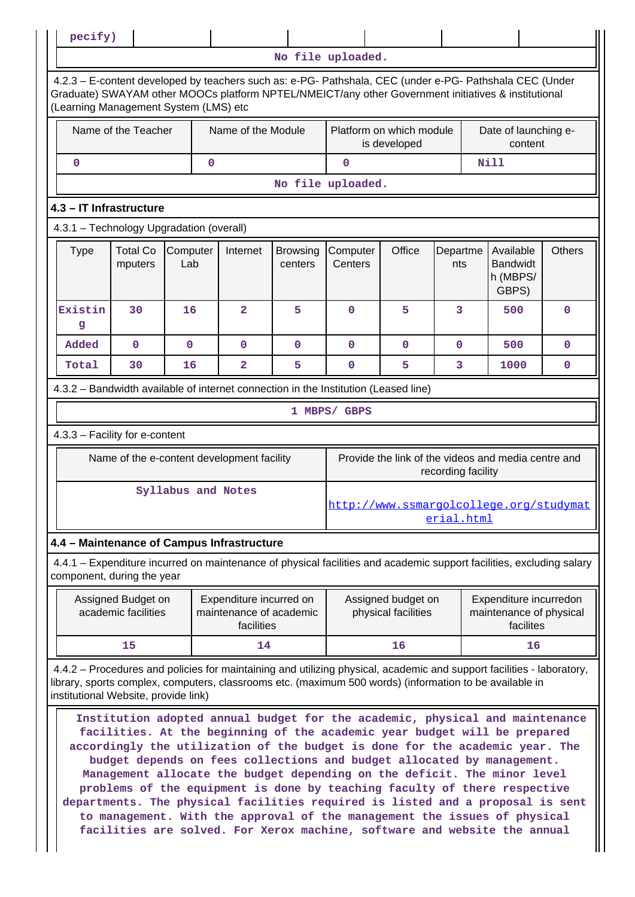**No file uploaded.** 4.2.3 – E-content developed by teachers such as: e-PG- Pathshala, CEC (under e-PG- Pathshala CEC (Under Graduate) SWAYAM other MOOCs platform NPTEL/NMEICT/any other Government initiatives & institutional (Learning Management System (LMS) etc Name of the Teacher | Name of the Module | Platform on which module is developed Date of launching econtent **0** 0 0 Nill **No file uploaded. 4.3 – IT Infrastructure** 4.3.1 – Technology Upgradation (overall)  $Type \mid Total Co$ mputers **Computer** Lab Internet Browsing centers **Computer Centers** Office Departme nts Available Bandwidt h (MBPS/ GBPS) **Others Existin g 30 16 2 5 0 5 3 500 0 Added 0 0 0 0 0 0 0 500 0 Total 30 16 2 5 0 5 3 1000 0** 4.3.2 – Bandwidth available of internet connection in the Institution (Leased line) **1 MBPS/ GBPS** 4.3.3 – Facility for e-content Name of the e-content development facility Frovide the link of the videos and media centre and recording facility  **Syllabus and Notes** [http://www.ssmargolcollege.org/studymat](http://www.ssmargolcollege.org/studymaterial.html) [erial.html](http://www.ssmargolcollege.org/studymaterial.html) **4.4 – Maintenance of Campus Infrastructure** 4.4.1 – Expenditure incurred on maintenance of physical facilities and academic support facilities, excluding salary component, during the year Assigned Budget on academic facilities Expenditure incurred on maintenance of academic facilities Assigned budget on physical facilities Expenditure incurredon maintenance of physical facilites  **15 14 16 16** 4.4.2 – Procedures and policies for maintaining and utilizing physical, academic and support facilities - laboratory, library, sports complex, computers, classrooms etc. (maximum 500 words) (information to be available in institutional Website, provide link) **Institution adopted annual budget for the academic, physical and maintenance facilities. At the beginning of the academic year budget will be prepared accordingly the utilization of the budget is done for the academic year. The budget depends on fees collections and budget allocated by management. Management allocate the budget depending on the deficit. The minor level problems of the equipment is done by teaching faculty of there respective departments. The physical facilities required is listed and a proposal is sent to management. With the approval of the management the issues of physical**

**facilities are solved. For Xerox machine, software and website the annual**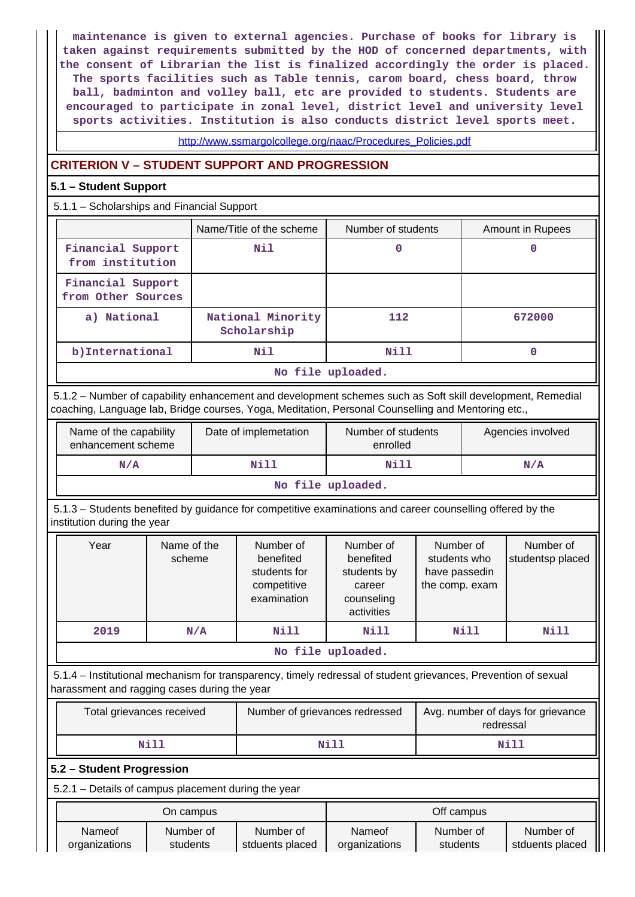**maintenance is given to external agencies. Purchase of books for library is taken against requirements submitted by the HOD of concerned departments, with the consent of Librarian the list is finalized accordingly the order is placed. The sports facilities such as Table tennis, carom board, chess board, throw ball, badminton and volley ball, etc are provided to students. Students are encouraged to participate in zonal level, district level and university level sports activities. Institution is also conducts district level sports meet.**

[http://www.ssmargolcollege.org/naac/Procedures\\_Policies.pdf](http://www.ssmargolcollege.org/naac/Procedures_Policies.pdf)

# **CRITERION V – STUDENT SUPPORT AND PROGRESSION**

## **5.1 – Student Support**

5.1.1 – Scholarships and Financial Support

|                                         | Name/Title of the scheme         | Number of students | Amount in Rupees |
|-----------------------------------------|----------------------------------|--------------------|------------------|
| Financial Support<br>from institution   | Nil                              | 0                  | 0                |
| Financial Support<br>from Other Sources |                                  |                    |                  |
| a) National                             | National Minority<br>Scholarship | 112                | 672000           |
| b) International                        | Nil                              | Nill               | 0                |
|                                         |                                  | No file uploaded.  |                  |

 5.1.2 – Number of capability enhancement and development schemes such as Soft skill development, Remedial coaching, Language lab, Bridge courses, Yoga, Meditation, Personal Counselling and Mentoring etc.,

| Name of the capability<br>enhancement scheme | Date of implemetation | Number of students<br>enrolled | Agencies involved |
|----------------------------------------------|-----------------------|--------------------------------|-------------------|
| N/A                                          | Nill                  | Nill                           | N/A               |
|                                              |                       | No file uploaded.              |                   |

 5.1.3 – Students benefited by guidance for competitive examinations and career counselling offered by the institution during the year

| Year | Name of the<br>scheme | Number of<br>benefited<br>students for<br>competitive<br>examination | Number of<br>benefited<br>students by<br>career<br>counseling<br>activities | Number of<br>students who<br>have passedin<br>the comp. exam | Number of<br>studentsp placed |
|------|-----------------------|----------------------------------------------------------------------|-----------------------------------------------------------------------------|--------------------------------------------------------------|-------------------------------|
| 2019 | N/A                   | Nill                                                                 | Nill                                                                        | Nill                                                         | Nill                          |
|      |                       |                                                                      | No file uploaded.                                                           |                                                              |                               |

 5.1.4 – Institutional mechanism for transparency, timely redressal of student grievances, Prevention of sexual harassment and ragging cases during the year

| Total grievances received | Number of grievances redressed | Avg. number of days for grievance<br>redressal |  |
|---------------------------|--------------------------------|------------------------------------------------|--|
| Nill                      | Nill                           | Nill                                           |  |

## **5.2 – Student Progression**

5.2.1 – Details of campus placement during the year

| On campus     |           |                 | Off campus    |           |                 |
|---------------|-----------|-----------------|---------------|-----------|-----------------|
| Nameof        | Number of | Number of       | Nameof        | Number of | Number of       |
| organizations | students  | stduents placed | organizations | students  | stduents placed |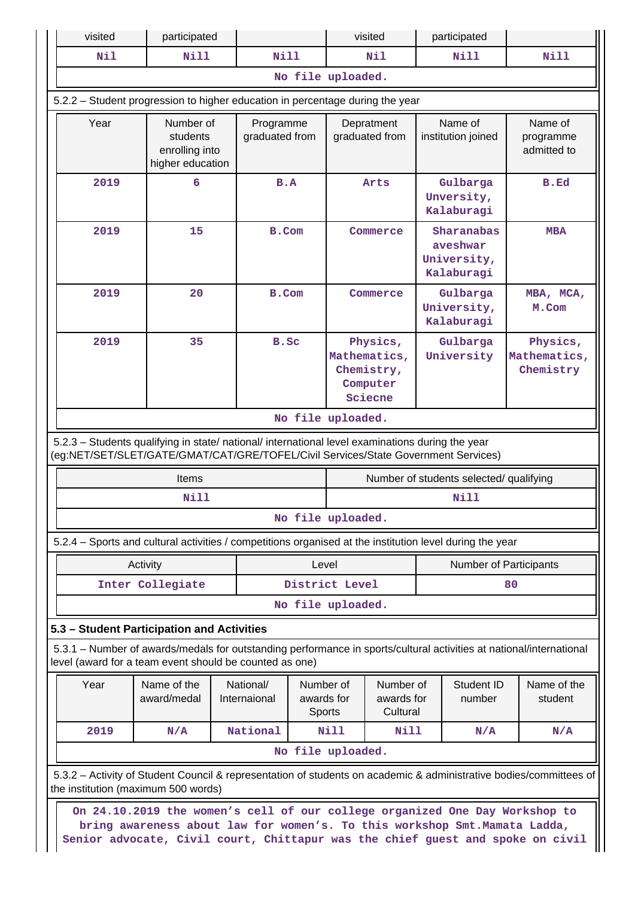| visited | participated                                                                                                                                                                                                                                |                             |                                   | visited                                                       |      | participated                                        |                                       |
|---------|---------------------------------------------------------------------------------------------------------------------------------------------------------------------------------------------------------------------------------------------|-----------------------------|-----------------------------------|---------------------------------------------------------------|------|-----------------------------------------------------|---------------------------------------|
| Nil     | <b>Nill</b>                                                                                                                                                                                                                                 | <b>Nill</b>                 |                                   | Nil                                                           |      | <b>Nill</b>                                         | Nill                                  |
|         |                                                                                                                                                                                                                                             |                             |                                   | No file uploaded.                                             |      |                                                     |                                       |
|         | 5.2.2 - Student progression to higher education in percentage during the year                                                                                                                                                               |                             |                                   |                                                               |      |                                                     |                                       |
| Year    | Number of<br>students<br>enrolling into<br>higher education                                                                                                                                                                                 | Programme<br>graduated from |                                   | Depratment<br>graduated from                                  |      | Name of<br>institution joined                       | Name of<br>programme<br>admitted to   |
| 2019    | 6                                                                                                                                                                                                                                           | B.A                         |                                   | Arts                                                          |      | Gulbarga<br>Unversity,<br>Kalaburagi                | B.Ed                                  |
| 2019    | 15                                                                                                                                                                                                                                          |                             | <b>B.Com</b>                      | Commerce                                                      |      | Sharanabas<br>aveshwar<br>University,<br>Kalaburagi | <b>MBA</b>                            |
| 2019    | 20                                                                                                                                                                                                                                          |                             | <b>B.Com</b>                      | Commerce                                                      |      | Gulbarga<br>University,<br>Kalaburagi               | MBA, MCA,<br>M.Com                    |
| 2019    | 35                                                                                                                                                                                                                                          | B.Sc                        |                                   | Physics,<br>Mathematics,<br>Chemistry,<br>Computer<br>Sciecne |      | Gulbarga<br>University                              | Physics,<br>Mathematics,<br>Chemistry |
|         |                                                                                                                                                                                                                                             |                             |                                   | No file uploaded.                                             |      |                                                     |                                       |
|         | 5.2.3 - Students qualifying in state/ national/ international level examinations during the year<br>(eg:NET/SET/SLET/GATE/GMAT/CAT/GRE/TOFEL/Civil Services/State Government Services)<br>Items                                             |                             |                                   |                                                               |      | Number of students selected/ qualifying             |                                       |
|         | Nill                                                                                                                                                                                                                                        |                             |                                   |                                                               |      | Nill                                                |                                       |
|         |                                                                                                                                                                                                                                             |                             |                                   | No file uploaded.                                             |      |                                                     |                                       |
|         | 5.2.4 – Sports and cultural activities / competitions organised at the institution level during the year                                                                                                                                    |                             |                                   |                                                               |      |                                                     |                                       |
|         |                                                                                                                                                                                                                                             |                             |                                   |                                                               |      |                                                     |                                       |
|         | Activity<br>Inter Collegiate                                                                                                                                                                                                                |                             | Level                             | District Level                                                |      |                                                     | Number of Participants<br>80          |
|         |                                                                                                                                                                                                                                             |                             |                                   | No file uploaded.                                             |      |                                                     |                                       |
|         |                                                                                                                                                                                                                                             |                             |                                   |                                                               |      |                                                     |                                       |
|         | 5.3 - Student Participation and Activities                                                                                                                                                                                                  |                             |                                   |                                                               |      |                                                     |                                       |
|         | 5.3.1 – Number of awards/medals for outstanding performance in sports/cultural activities at national/international<br>level (award for a team event should be counted as one)                                                              |                             |                                   |                                                               |      |                                                     |                                       |
| Year    | Name of the<br>award/medal                                                                                                                                                                                                                  | National/<br>Internaional   | Number of<br>awards for<br>Sports | Number of<br>Student ID<br>awards for<br>number<br>Cultural   |      | Name of the<br>student                              |                                       |
| 2019    | N/A                                                                                                                                                                                                                                         | National                    |                                   | N <sub>i</sub> 11                                             | Nill | N/A                                                 | N/A                                   |
|         |                                                                                                                                                                                                                                             |                             |                                   | No file uploaded.                                             |      |                                                     |                                       |
|         | 5.3.2 - Activity of Student Council & representation of students on academic & administrative bodies/committees of<br>the institution (maximum 500 words)                                                                                   |                             |                                   |                                                               |      |                                                     |                                       |
|         | On 24.10.2019 the women's cell of our college organized One Day Workshop to<br>bring awareness about law for women's. To this workshop Smt. Mamata Ladda,<br>Senior advocate, Civil court, Chittapur was the chief guest and spoke on civil |                             |                                   |                                                               |      |                                                     |                                       |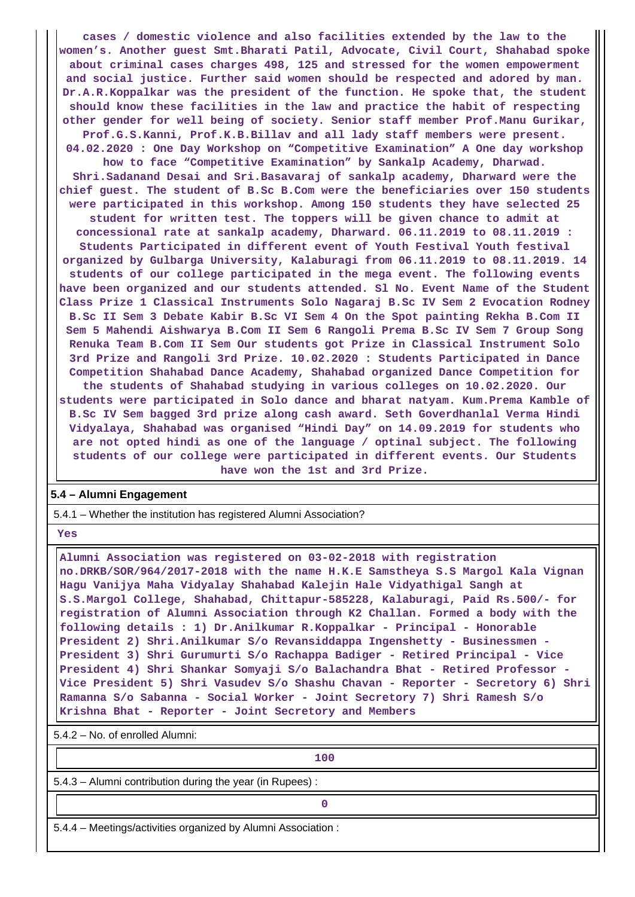**cases / domestic violence and also facilities extended by the law to the women's. Another guest Smt.Bharati Patil, Advocate, Civil Court, Shahabad spoke about criminal cases charges 498, 125 and stressed for the women empowerment and social justice. Further said women should be respected and adored by man. Dr.A.R.Koppalkar was the president of the function. He spoke that, the student should know these facilities in the law and practice the habit of respecting other gender for well being of society. Senior staff member Prof.Manu Gurikar, Prof.G.S.Kanni, Prof.K.B.Billav and all lady staff members were present. 04.02.2020 : One Day Workshop on "Competitive Examination" A One day workshop**

**how to face "Competitive Examination" by Sankalp Academy, Dharwad. Shri.Sadanand Desai and Sri.Basavaraj of sankalp academy, Dharward were the chief guest. The student of B.Sc B.Com were the beneficiaries over 150 students were participated in this workshop. Among 150 students they have selected 25 student for written test. The toppers will be given chance to admit at concessional rate at sankalp academy, Dharward. 06.11.2019 to 08.11.2019 : Students Participated in different event of Youth Festival Youth festival organized by Gulbarga University, Kalaburagi from 06.11.2019 to 08.11.2019. 14 students of our college participated in the mega event. The following events have been organized and our students attended. Sl No. Event Name of the Student Class Prize 1 Classical Instruments Solo Nagaraj B.Sc IV Sem 2 Evocation Rodney B.Sc II Sem 3 Debate Kabir B.Sc VI Sem 4 On the Spot painting Rekha B.Com II Sem 5 Mahendi Aishwarya B.Com II Sem 6 Rangoli Prema B.Sc IV Sem 7 Group Song Renuka Team B.Com II Sem Our students got Prize in Classical Instrument Solo 3rd Prize and Rangoli 3rd Prize. 10.02.2020 : Students Participated in Dance Competition Shahabad Dance Academy, Shahabad organized Dance Competition for the students of Shahabad studying in various colleges on 10.02.2020. Our students were participated in Solo dance and bharat natyam. Kum.Prema Kamble of B.Sc IV Sem bagged 3rd prize along cash award. Seth Goverdhanlal Verma Hindi Vidyalaya, Shahabad was organised "Hindi Day" on 14.09.2019 for students who are not opted hindi as one of the language / optinal subject. The following students of our college were participated in different events. Our Students have won the 1st and 3rd Prize.**

#### **5.4 – Alumni Engagement**

5.4.1 – Whether the institution has registered Alumni Association?

 **Yes**

 **Alumni Association was registered on 03-02-2018 with registration no.DRKB/SOR/964/2017-2018 with the name H.K.E Samstheya S.S Margol Kala Vignan Hagu Vanijya Maha Vidyalay Shahabad Kalejin Hale Vidyathigal Sangh at S.S.Margol College, Shahabad, Chittapur-585228, Kalaburagi, Paid Rs.500/- for registration of Alumni Association through K2 Challan. Formed a body with the following details : 1) Dr.Anilkumar R.Koppalkar - Principal - Honorable President 2) Shri.Anilkumar S/o Revansiddappa Ingenshetty - Businessmen - President 3) Shri Gurumurti S/o Rachappa Badiger - Retired Principal - Vice President 4) Shri Shankar Somyaji S/o Balachandra Bhat - Retired Professor - Vice President 5) Shri Vasudev S/o Shashu Chavan - Reporter - Secretory 6) Shri Ramanna S/o Sabanna - Social Worker - Joint Secretory 7) Shri Ramesh S/o Krishna Bhat - Reporter - Joint Secretory and Members**

5.4.2 – No. of enrolled Alumni:

**100**

5.4.3 – Alumni contribution during the year (in Rupees) :

**0**

5.4.4 – Meetings/activities organized by Alumni Association :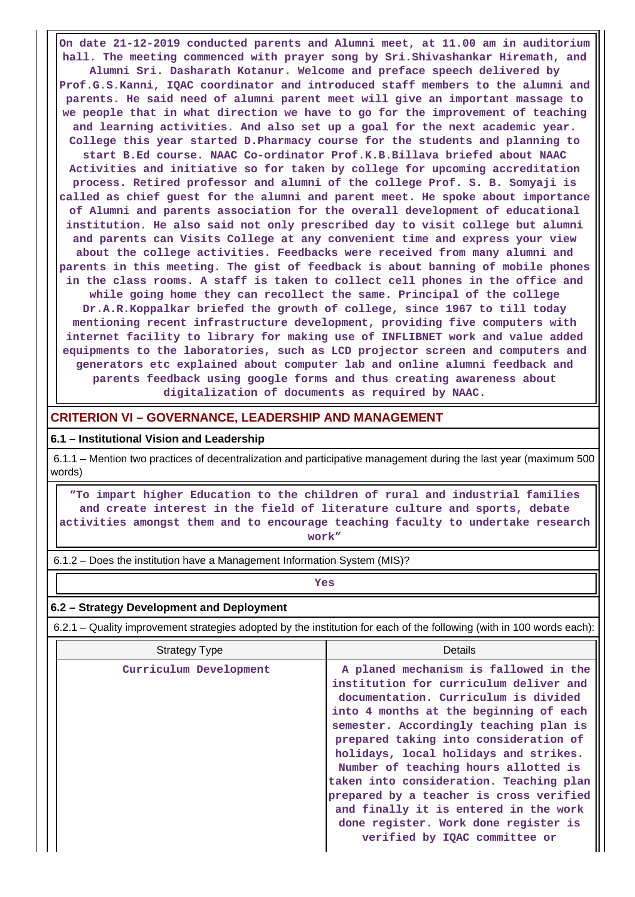**On date 21-12-2019 conducted parents and Alumni meet, at 11.00 am in auditorium hall. The meeting commenced with prayer song by Sri.Shivashankar Hiremath, and Alumni Sri. Dasharath Kotanur. Welcome and preface speech delivered by Prof.G.S.Kanni, IQAC coordinator and introduced staff members to the alumni and parents. He said need of alumni parent meet will give an important massage to we people that in what direction we have to go for the improvement of teaching and learning activities. And also set up a goal for the next academic year. College this year started D.Pharmacy course for the students and planning to start B.Ed course. NAAC Co-ordinator Prof.K.B.Billava briefed about NAAC Activities and initiative so for taken by college for upcoming accreditation process. Retired professor and alumni of the college Prof. S. B. Somyaji is called as chief guest for the alumni and parent meet. He spoke about importance of Alumni and parents association for the overall development of educational institution. He also said not only prescribed day to visit college but alumni and parents can Visits College at any convenient time and express your view about the college activities. Feedbacks were received from many alumni and parents in this meeting. The gist of feedback is about banning of mobile phones in the class rooms. A staff is taken to collect cell phones in the office and while going home they can recollect the same. Principal of the college Dr.A.R.Koppalkar briefed the growth of college, since 1967 to till today mentioning recent infrastructure development, providing five computers with internet facility to library for making use of INFLIBNET work and value added equipments to the laboratories, such as LCD projector screen and computers and generators etc explained about computer lab and online alumni feedback and parents feedback using google forms and thus creating awareness about digitalization of documents as required by NAAC.**

## **CRITERION VI – GOVERNANCE, LEADERSHIP AND MANAGEMENT**

#### **6.1 – Institutional Vision and Leadership**

 6.1.1 – Mention two practices of decentralization and participative management during the last year (maximum 500 words)

 **"To impart higher Education to the children of rural and industrial families and create interest in the field of literature culture and sports, debate activities amongst them and to encourage teaching faculty to undertake research work"**

6.1.2 – Does the institution have a Management Information System (MIS)?

*Yes* 

#### **6.2 – Strategy Development and Deployment**

6.2.1 – Quality improvement strategies adopted by the institution for each of the following (with in 100 words each):

| <b>Strategy Type</b>   | Details                                                                                                                                                                                                                                                                                                                                                                                                                                                                                                                                       |  |  |  |
|------------------------|-----------------------------------------------------------------------------------------------------------------------------------------------------------------------------------------------------------------------------------------------------------------------------------------------------------------------------------------------------------------------------------------------------------------------------------------------------------------------------------------------------------------------------------------------|--|--|--|
| Curriculum Development | A planed mechanism is fallowed in the<br>institution for curriculum deliver and<br>documentation. Curriculum is divided<br>into 4 months at the beginning of each<br>semester. Accordingly teaching plan is<br>prepared taking into consideration of<br>holidays, local holidays and strikes.<br>Number of teaching hours allotted is<br>taken into consideration. Teaching plan<br>prepared by a teacher is cross verified<br>and finally it is entered in the work<br>done register. Work done register is<br>verified by IQAC committee or |  |  |  |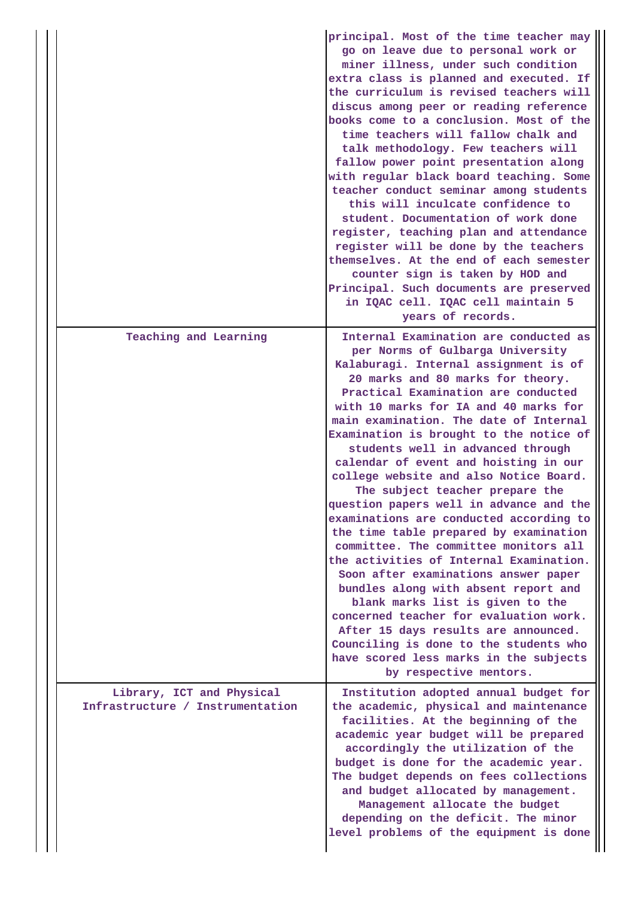|  |                                                               | principal. Most of the time teacher may<br>go on leave due to personal work or<br>miner illness, under such condition<br>extra class is planned and executed. If<br>the curriculum is revised teachers will<br>discus among peer or reading reference<br>books come to a conclusion. Most of the<br>time teachers will fallow chalk and<br>talk methodology. Few teachers will<br>fallow power point presentation along<br>with regular black board teaching. Some<br>teacher conduct seminar among students<br>this will inculcate confidence to<br>student. Documentation of work done<br>register, teaching plan and attendance<br>register will be done by the teachers<br>themselves. At the end of each semester<br>counter sign is taken by HOD and<br>Principal. Such documents are preserved<br>in IQAC cell. IQAC cell maintain 5<br>years of records.                                                                                                                                                                |
|--|---------------------------------------------------------------|---------------------------------------------------------------------------------------------------------------------------------------------------------------------------------------------------------------------------------------------------------------------------------------------------------------------------------------------------------------------------------------------------------------------------------------------------------------------------------------------------------------------------------------------------------------------------------------------------------------------------------------------------------------------------------------------------------------------------------------------------------------------------------------------------------------------------------------------------------------------------------------------------------------------------------------------------------------------------------------------------------------------------------|
|  | Teaching and Learning                                         | Internal Examination are conducted as<br>per Norms of Gulbarga University<br>Kalaburagi. Internal assignment is of<br>20 marks and 80 marks for theory.<br>Practical Examination are conducted<br>with 10 marks for IA and 40 marks for<br>main examination. The date of Internal<br>Examination is brought to the notice of<br>students well in advanced through<br>calendar of event and hoisting in our<br>college website and also Notice Board.<br>The subject teacher prepare the<br>question papers well in advance and the<br>examinations are conducted according to<br>the time table prepared by examination<br>committee. The committee monitors all<br>the activities of Internal Examination.<br>Soon after examinations answer paper<br>bundles along with absent report and<br>blank marks list is given to the<br>concerned teacher for evaluation work.<br>After 15 days results are announced.<br>Counciling is done to the students who<br>have scored less marks in the subjects<br>by respective mentors. |
|  | Library, ICT and Physical<br>Infrastructure / Instrumentation | Institution adopted annual budget for<br>the academic, physical and maintenance<br>facilities. At the beginning of the<br>academic year budget will be prepared<br>accordingly the utilization of the<br>budget is done for the academic year.<br>The budget depends on fees collections<br>and budget allocated by management.<br>Management allocate the budget<br>depending on the deficit. The minor<br>level problems of the equipment is done                                                                                                                                                                                                                                                                                                                                                                                                                                                                                                                                                                             |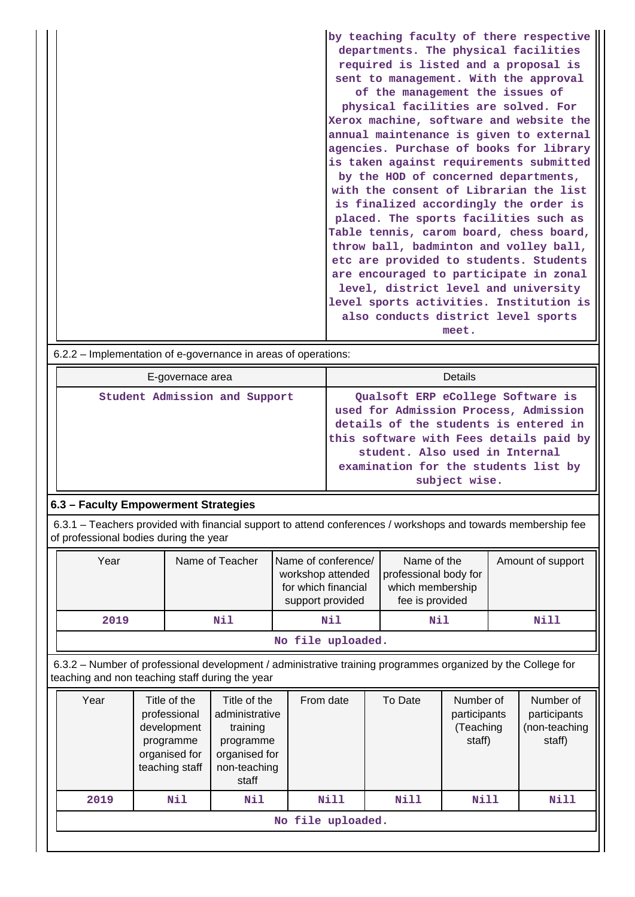|                                                                | by teaching faculty of there respective |  |  |  |  |  |
|----------------------------------------------------------------|-----------------------------------------|--|--|--|--|--|
|                                                                | departments. The physical facilities    |  |  |  |  |  |
|                                                                | required is listed and a proposal is    |  |  |  |  |  |
|                                                                | sent to management. With the approval   |  |  |  |  |  |
|                                                                | of the management the issues of         |  |  |  |  |  |
|                                                                | physical facilities are solved. For     |  |  |  |  |  |
|                                                                | Xerox machine, software and website the |  |  |  |  |  |
|                                                                | annual maintenance is given to external |  |  |  |  |  |
|                                                                | agencies. Purchase of books for library |  |  |  |  |  |
|                                                                | is taken against requirements submitted |  |  |  |  |  |
|                                                                | by the HOD of concerned departments,    |  |  |  |  |  |
|                                                                | with the consent of Librarian the list  |  |  |  |  |  |
|                                                                | is finalized accordingly the order is   |  |  |  |  |  |
|                                                                | placed. The sports facilities such as   |  |  |  |  |  |
|                                                                | Table tennis, carom board, chess board, |  |  |  |  |  |
|                                                                | throw ball, badminton and volley ball,  |  |  |  |  |  |
|                                                                | etc are provided to students. Students  |  |  |  |  |  |
|                                                                | are encouraged to participate in zonal  |  |  |  |  |  |
|                                                                | level, district level and university    |  |  |  |  |  |
|                                                                | level sports activities. Institution is |  |  |  |  |  |
|                                                                | also conducts district level sports     |  |  |  |  |  |
|                                                                | meet.                                   |  |  |  |  |  |
| 6.2.2 – Implementation of e-governance in areas of operations: |                                         |  |  |  |  |  |

E-governace area **Details Student Admission and Support Qualsoft ERP eCollege Software is used for Admission Process, Admission details of the students is entered in this software with Fees details paid by student. Also used in Internal examination for the students list by subject wise.**

# **6.3 – Faculty Empowerment Strategies**

 6.3.1 – Teachers provided with financial support to attend conferences / workshops and towards membership fee of professional bodies during the year

| Year              | Name of Teacher | Name of conference/<br>workshop attended<br>for which financial<br>support provided | Name of the<br>professional body for<br>which membership<br>fee is provided | Amount of support |  |  |  |
|-------------------|-----------------|-------------------------------------------------------------------------------------|-----------------------------------------------------------------------------|-------------------|--|--|--|
| 2019              | Nil             | Nil                                                                                 | Nil                                                                         | Nill              |  |  |  |
| No file uploaded. |                 |                                                                                     |                                                                             |                   |  |  |  |

 6.3.2 – Number of professional development / administrative training programmes organized by the College for teaching and non teaching staff during the year

| Year              | Title of the<br>professional<br>development<br>programme<br>organised for<br>teaching staff | Title of the<br>administrative<br>training<br>programme<br>organised for<br>non-teaching<br>staff | From date | To Date | Number of<br>participants<br>(Teaching<br>staff) | Number of<br>participants<br>(non-teaching<br>staff) |  |  |
|-------------------|---------------------------------------------------------------------------------------------|---------------------------------------------------------------------------------------------------|-----------|---------|--------------------------------------------------|------------------------------------------------------|--|--|
| 2019              | Nil                                                                                         | Nil                                                                                               | Nill      | Nill    | Nill                                             | Nill                                                 |  |  |
| No file uploaded. |                                                                                             |                                                                                                   |           |         |                                                  |                                                      |  |  |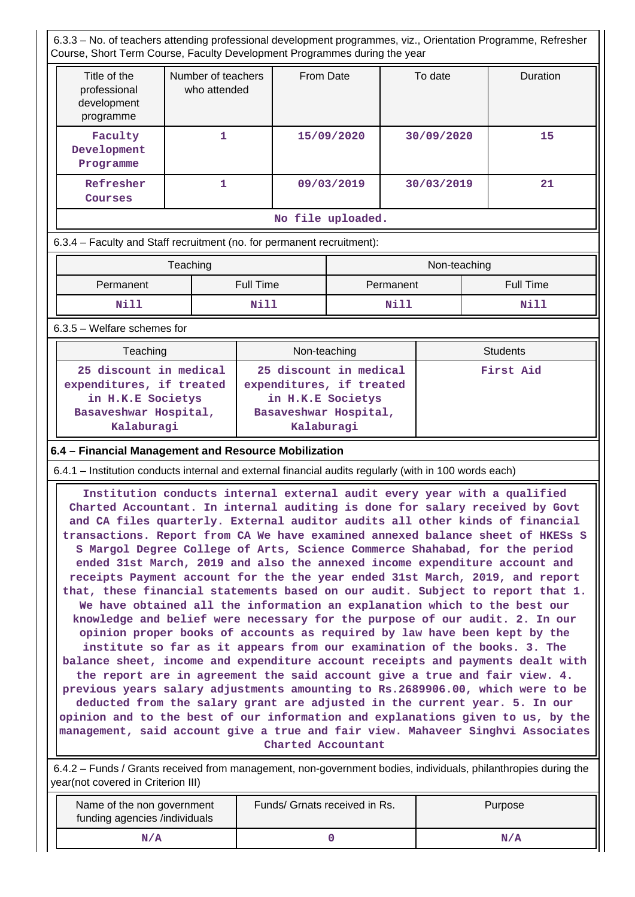6.3.3 – No. of teachers attending professional development programmes, viz., Orientation Programme, Refresher Course, Short Term Course, Faculty Development Programmes during the year

| Title of the<br>professional<br>development<br>programme | Number of teachers<br>who attended | From Date  | To date    | Duration |  |  |
|----------------------------------------------------------|------------------------------------|------------|------------|----------|--|--|
| Faculty<br>Development<br>Programme                      |                                    | 15/09/2020 | 30/09/2020 | 15       |  |  |
| Refresher<br>Courses                                     |                                    | 09/03/2019 | 30/03/2019 | 21       |  |  |
| No file uploaded.                                        |                                    |            |            |          |  |  |

6.3.4 – Faculty and Staff recruitment (no. for permanent recruitment):

|           | Teaching  | Non-teaching |           |  |  |
|-----------|-----------|--------------|-----------|--|--|
| Permanent | Full Time | Permanent    | Full Time |  |  |
| Nill      | Nill      | Nill         | Nill      |  |  |

6.3.5 – Welfare schemes for

| Teaching                                                                                                       | Non-teaching                                                                                                   | <b>Students</b> |
|----------------------------------------------------------------------------------------------------------------|----------------------------------------------------------------------------------------------------------------|-----------------|
| 25 discount in medical<br>expenditures, if treated<br>in H.K.E Societys<br>Basaveshwar Hospital,<br>Kalaburagi | 25 discount in medical<br>expenditures, if treated<br>in H.K.E Societys<br>Basaveshwar Hospital,<br>Kalaburagi | First Aid       |

#### **6.4 – Financial Management and Resource Mobilization**

6.4.1 – Institution conducts internal and external financial audits regularly (with in 100 words each)

 **Institution conducts internal external audit every year with a qualified Charted Accountant. In internal auditing is done for salary received by Govt and CA files quarterly. External auditor audits all other kinds of financial transactions. Report from CA We have examined annexed balance sheet of HKESs S S Margol Degree College of Arts, Science Commerce Shahabad, for the period ended 31st March, 2019 and also the annexed income expenditure account and receipts Payment account for the the year ended 31st March, 2019, and report that, these financial statements based on our audit. Subject to report that 1. We have obtained all the information an explanation which to the best our knowledge and belief were necessary for the purpose of our audit. 2. In our opinion proper books of accounts as required by law have been kept by the institute so far as it appears from our examination of the books. 3. The balance sheet, income and expenditure account receipts and payments dealt with the report are in agreement the said account give a true and fair view. 4. previous years salary adjustments amounting to Rs.2689906.00, which were to be deducted from the salary grant are adjusted in the current year. 5. In our opinion and to the best of our information and explanations given to us, by the management, said account give a true and fair view. Mahaveer Singhvi Associates Charted Accountant**

 6.4.2 – Funds / Grants received from management, non-government bodies, individuals, philanthropies during the year(not covered in Criterion III)

| Name of the non government<br>funding agencies /individuals | Funds/ Grnats received in Rs. | Purpose |
|-------------------------------------------------------------|-------------------------------|---------|
| N/A                                                         |                               | N/A     |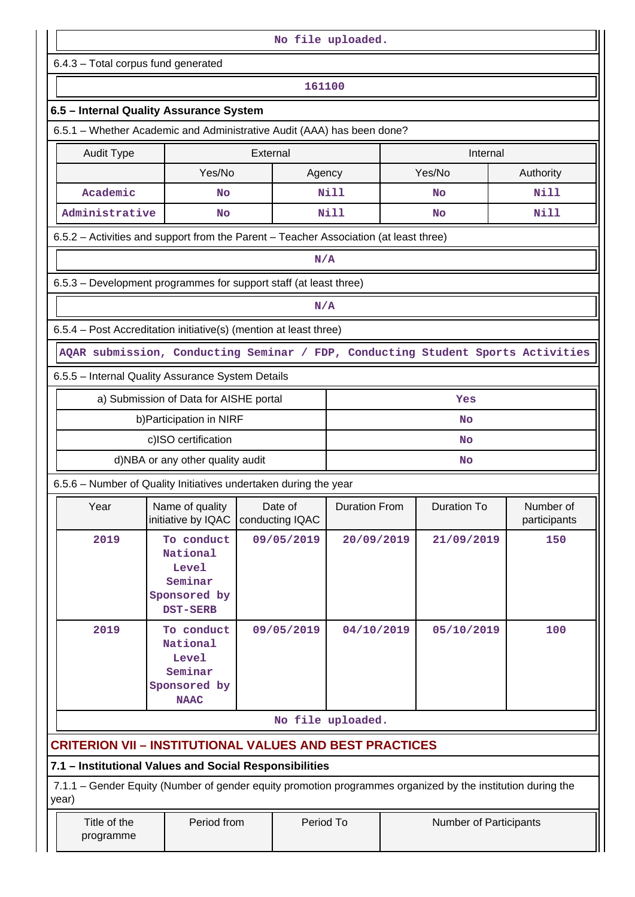| No file uploaded.         |                                                                                                             |                 |            |                      |     |                        |                           |  |  |  |  |  |
|---------------------------|-------------------------------------------------------------------------------------------------------------|-----------------|------------|----------------------|-----|------------------------|---------------------------|--|--|--|--|--|
|                           | 6.4.3 - Total corpus fund generated                                                                         |                 |            |                      |     |                        |                           |  |  |  |  |  |
|                           | 161100                                                                                                      |                 |            |                      |     |                        |                           |  |  |  |  |  |
|                           | 6.5 - Internal Quality Assurance System                                                                     |                 |            |                      |     |                        |                           |  |  |  |  |  |
|                           | 6.5.1 - Whether Academic and Administrative Audit (AAA) has been done?                                      |                 |            |                      |     |                        |                           |  |  |  |  |  |
| <b>Audit Type</b>         |                                                                                                             | External        |            |                      |     | Internal               |                           |  |  |  |  |  |
|                           | Yes/No                                                                                                      |                 | Agency     |                      |     | Yes/No                 | Authority                 |  |  |  |  |  |
| Academic<br><b>No</b>     |                                                                                                             |                 |            | <b>Nill</b>          |     | No                     | <b>Nill</b>               |  |  |  |  |  |
| Administrative            | <b>No</b>                                                                                                   |                 |            | <b>Nill</b>          |     | <b>No</b>              | <b>Nill</b>               |  |  |  |  |  |
|                           | 6.5.2 – Activities and support from the Parent – Teacher Association (at least three)                       |                 |            |                      |     |                        |                           |  |  |  |  |  |
|                           |                                                                                                             |                 | N/A        |                      |     |                        |                           |  |  |  |  |  |
|                           | 6.5.3 - Development programmes for support staff (at least three)                                           |                 |            |                      |     |                        |                           |  |  |  |  |  |
|                           |                                                                                                             |                 | N/A        |                      |     |                        |                           |  |  |  |  |  |
|                           | 6.5.4 - Post Accreditation initiative(s) (mention at least three)                                           |                 |            |                      |     |                        |                           |  |  |  |  |  |
|                           | AQAR submission, Conducting Seminar / FDP, Conducting Student Sports Activities                             |                 |            |                      |     |                        |                           |  |  |  |  |  |
|                           | 6.5.5 - Internal Quality Assurance System Details                                                           |                 |            |                      |     |                        |                           |  |  |  |  |  |
|                           | a) Submission of Data for AISHE portal                                                                      |                 |            |                      |     | Yes                    |                           |  |  |  |  |  |
|                           | b) Participation in NIRF                                                                                    |                 |            | No                   |     |                        |                           |  |  |  |  |  |
|                           | c)ISO certification                                                                                         |                 |            | No                   |     |                        |                           |  |  |  |  |  |
|                           | d)NBA or any other quality audit                                                                            |                 |            | No                   |     |                        |                           |  |  |  |  |  |
|                           | 6.5.6 - Number of Quality Initiatives undertaken during the year                                            |                 |            |                      |     |                        |                           |  |  |  |  |  |
| Year                      | Name of quality<br>initiative by IQAC                                                                       | conducting IQAC | Date of    | <b>Duration From</b> |     | <b>Duration To</b>     | Number of<br>participants |  |  |  |  |  |
| 2019                      | To conduct<br>National<br>Level<br>Seminar<br>Sponsored by<br><b>DST-SERB</b>                               |                 | 09/05/2019 | 20/09/2019           |     | 21/09/2019             | 150                       |  |  |  |  |  |
| 2019                      | 09/05/2019                                                                                                  | 04/10/2019      |            | 05/10/2019           | 100 |                        |                           |  |  |  |  |  |
|                           |                                                                                                             |                 |            | No file uploaded.    |     |                        |                           |  |  |  |  |  |
|                           | <b>CRITERION VII - INSTITUTIONAL VALUES AND BEST PRACTICES</b>                                              |                 |            |                      |     |                        |                           |  |  |  |  |  |
|                           | 7.1 - Institutional Values and Social Responsibilities                                                      |                 |            |                      |     |                        |                           |  |  |  |  |  |
| year)                     | 7.1.1 – Gender Equity (Number of gender equity promotion programmes organized by the institution during the |                 |            |                      |     |                        |                           |  |  |  |  |  |
| Title of the<br>programme | Period from                                                                                                 |                 | Period To  |                      |     | Number of Participants |                           |  |  |  |  |  |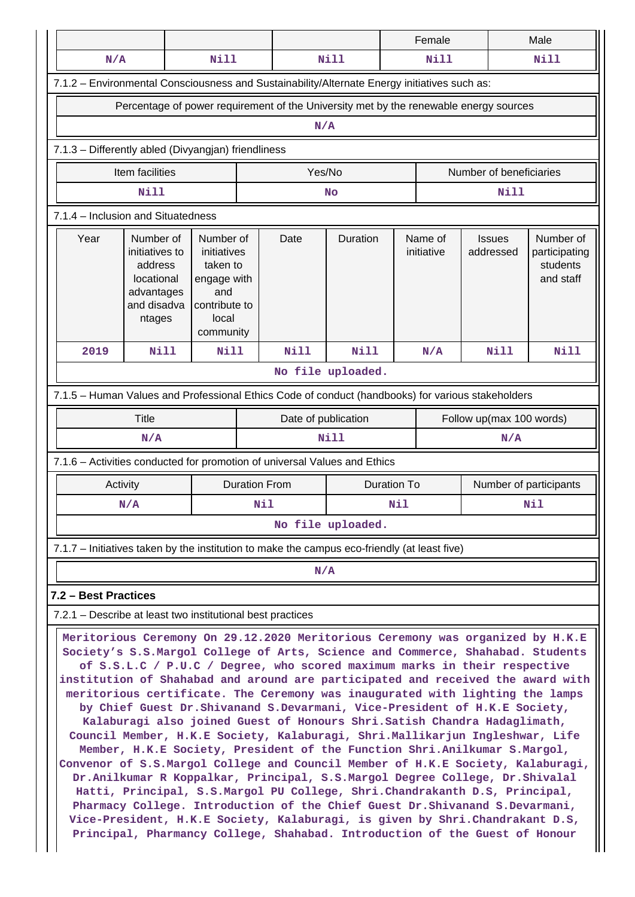|                                                                                                                                                                                                                                                                                                                                                                                                                                                                                                                                                                                                                                                                                                                                                                                                                                                                                                                                                                                                                                                                                                                                                                                                                                             |                                                                                                                                                                                                                                                                                                                                    |      |                      |                     |                    |     | Female      |                          | Male        |  |
|---------------------------------------------------------------------------------------------------------------------------------------------------------------------------------------------------------------------------------------------------------------------------------------------------------------------------------------------------------------------------------------------------------------------------------------------------------------------------------------------------------------------------------------------------------------------------------------------------------------------------------------------------------------------------------------------------------------------------------------------------------------------------------------------------------------------------------------------------------------------------------------------------------------------------------------------------------------------------------------------------------------------------------------------------------------------------------------------------------------------------------------------------------------------------------------------------------------------------------------------|------------------------------------------------------------------------------------------------------------------------------------------------------------------------------------------------------------------------------------------------------------------------------------------------------------------------------------|------|----------------------|---------------------|--------------------|-----|-------------|--------------------------|-------------|--|
| N/A                                                                                                                                                                                                                                                                                                                                                                                                                                                                                                                                                                                                                                                                                                                                                                                                                                                                                                                                                                                                                                                                                                                                                                                                                                         |                                                                                                                                                                                                                                                                                                                                    | Nill |                      |                     | <b>Nill</b>        |     | <b>Nill</b> |                          | Nill        |  |
| 7.1.2 - Environmental Consciousness and Sustainability/Alternate Energy initiatives such as:                                                                                                                                                                                                                                                                                                                                                                                                                                                                                                                                                                                                                                                                                                                                                                                                                                                                                                                                                                                                                                                                                                                                                |                                                                                                                                                                                                                                                                                                                                    |      |                      |                     |                    |     |             |                          |             |  |
| Percentage of power requirement of the University met by the renewable energy sources                                                                                                                                                                                                                                                                                                                                                                                                                                                                                                                                                                                                                                                                                                                                                                                                                                                                                                                                                                                                                                                                                                                                                       |                                                                                                                                                                                                                                                                                                                                    |      |                      |                     |                    |     |             |                          |             |  |
| N/A                                                                                                                                                                                                                                                                                                                                                                                                                                                                                                                                                                                                                                                                                                                                                                                                                                                                                                                                                                                                                                                                                                                                                                                                                                         |                                                                                                                                                                                                                                                                                                                                    |      |                      |                     |                    |     |             |                          |             |  |
| 7.1.3 - Differently abled (Divyangjan) friendliness                                                                                                                                                                                                                                                                                                                                                                                                                                                                                                                                                                                                                                                                                                                                                                                                                                                                                                                                                                                                                                                                                                                                                                                         |                                                                                                                                                                                                                                                                                                                                    |      |                      |                     |                    |     |             |                          |             |  |
| Number of beneficiaries<br>Item facilities<br>Yes/No                                                                                                                                                                                                                                                                                                                                                                                                                                                                                                                                                                                                                                                                                                                                                                                                                                                                                                                                                                                                                                                                                                                                                                                        |                                                                                                                                                                                                                                                                                                                                    |      |                      |                     |                    |     |             |                          |             |  |
| <b>Nill</b><br>Nill<br><b>No</b>                                                                                                                                                                                                                                                                                                                                                                                                                                                                                                                                                                                                                                                                                                                                                                                                                                                                                                                                                                                                                                                                                                                                                                                                            |                                                                                                                                                                                                                                                                                                                                    |      |                      |                     |                    |     |             |                          |             |  |
| 7.1.4 - Inclusion and Situatedness                                                                                                                                                                                                                                                                                                                                                                                                                                                                                                                                                                                                                                                                                                                                                                                                                                                                                                                                                                                                                                                                                                                                                                                                          |                                                                                                                                                                                                                                                                                                                                    |      |                      |                     |                    |     |             |                          |             |  |
| Year                                                                                                                                                                                                                                                                                                                                                                                                                                                                                                                                                                                                                                                                                                                                                                                                                                                                                                                                                                                                                                                                                                                                                                                                                                        | Duration<br>Name of<br>Number of<br>Number of<br>Number of<br>Date<br><b>Issues</b><br>initiatives to<br>initiative<br>initiatives<br>addressed<br>participating<br>students<br>taken to<br>address<br>and staff<br>locational<br>engage with<br>advantages<br>and<br>and disadva<br>contribute to<br>local<br>ntages<br>community |      |                      |                     |                    |     |             |                          |             |  |
| 2019                                                                                                                                                                                                                                                                                                                                                                                                                                                                                                                                                                                                                                                                                                                                                                                                                                                                                                                                                                                                                                                                                                                                                                                                                                        | Nill                                                                                                                                                                                                                                                                                                                               | Nill |                      | Nill                | <b>Nill</b>        |     | N/A         | Nill                     | <b>Nill</b> |  |
|                                                                                                                                                                                                                                                                                                                                                                                                                                                                                                                                                                                                                                                                                                                                                                                                                                                                                                                                                                                                                                                                                                                                                                                                                                             |                                                                                                                                                                                                                                                                                                                                    |      |                      |                     | No file uploaded.  |     |             |                          |             |  |
| 7.1.5 - Human Values and Professional Ethics Code of conduct (handbooks) for various stakeholders                                                                                                                                                                                                                                                                                                                                                                                                                                                                                                                                                                                                                                                                                                                                                                                                                                                                                                                                                                                                                                                                                                                                           |                                                                                                                                                                                                                                                                                                                                    |      |                      |                     |                    |     |             |                          |             |  |
|                                                                                                                                                                                                                                                                                                                                                                                                                                                                                                                                                                                                                                                                                                                                                                                                                                                                                                                                                                                                                                                                                                                                                                                                                                             | <b>Title</b>                                                                                                                                                                                                                                                                                                                       |      |                      | Date of publication |                    |     |             | Follow up(max 100 words) |             |  |
|                                                                                                                                                                                                                                                                                                                                                                                                                                                                                                                                                                                                                                                                                                                                                                                                                                                                                                                                                                                                                                                                                                                                                                                                                                             | N/A                                                                                                                                                                                                                                                                                                                                |      |                      |                     | Nill               |     |             | N/A                      |             |  |
| 7.1.6 - Activities conducted for promotion of universal Values and Ethics                                                                                                                                                                                                                                                                                                                                                                                                                                                                                                                                                                                                                                                                                                                                                                                                                                                                                                                                                                                                                                                                                                                                                                   |                                                                                                                                                                                                                                                                                                                                    |      |                      |                     |                    |     |             |                          |             |  |
|                                                                                                                                                                                                                                                                                                                                                                                                                                                                                                                                                                                                                                                                                                                                                                                                                                                                                                                                                                                                                                                                                                                                                                                                                                             | Activity                                                                                                                                                                                                                                                                                                                           |      | <b>Duration From</b> |                     | <b>Duration To</b> |     |             | Number of participants   |             |  |
|                                                                                                                                                                                                                                                                                                                                                                                                                                                                                                                                                                                                                                                                                                                                                                                                                                                                                                                                                                                                                                                                                                                                                                                                                                             | N/A                                                                                                                                                                                                                                                                                                                                |      | Nil                  |                     |                    | Nil |             |                          | Nil         |  |
|                                                                                                                                                                                                                                                                                                                                                                                                                                                                                                                                                                                                                                                                                                                                                                                                                                                                                                                                                                                                                                                                                                                                                                                                                                             |                                                                                                                                                                                                                                                                                                                                    |      |                      |                     | No file uploaded.  |     |             |                          |             |  |
| 7.1.7 – Initiatives taken by the institution to make the campus eco-friendly (at least five)                                                                                                                                                                                                                                                                                                                                                                                                                                                                                                                                                                                                                                                                                                                                                                                                                                                                                                                                                                                                                                                                                                                                                |                                                                                                                                                                                                                                                                                                                                    |      |                      |                     |                    |     |             |                          |             |  |
|                                                                                                                                                                                                                                                                                                                                                                                                                                                                                                                                                                                                                                                                                                                                                                                                                                                                                                                                                                                                                                                                                                                                                                                                                                             |                                                                                                                                                                                                                                                                                                                                    |      |                      | N/A                 |                    |     |             |                          |             |  |
| 7.2 - Best Practices                                                                                                                                                                                                                                                                                                                                                                                                                                                                                                                                                                                                                                                                                                                                                                                                                                                                                                                                                                                                                                                                                                                                                                                                                        |                                                                                                                                                                                                                                                                                                                                    |      |                      |                     |                    |     |             |                          |             |  |
| 7.2.1 - Describe at least two institutional best practices                                                                                                                                                                                                                                                                                                                                                                                                                                                                                                                                                                                                                                                                                                                                                                                                                                                                                                                                                                                                                                                                                                                                                                                  |                                                                                                                                                                                                                                                                                                                                    |      |                      |                     |                    |     |             |                          |             |  |
| Meritorious Ceremony On 29.12.2020 Meritorious Ceremony was organized by H.K.E<br>Society's S.S.Margol College of Arts, Science and Commerce, Shahabad. Students<br>of S.S.L.C / P.U.C / Degree, who scored maximum marks in their respective<br>institution of Shahabad and around are participated and received the award with<br>meritorious certificate. The Ceremony was inaugurated with lighting the lamps<br>by Chief Guest Dr. Shivanand S. Devarmani, Vice-President of H.K.E Society,<br>Kalaburagi also joined Guest of Honours Shri. Satish Chandra Hadaglimath,<br>Council Member, H.K.E Society, Kalaburagi, Shri.Mallikarjun Ingleshwar, Life<br>Member, H.K.E Society, President of the Function Shri.Anilkumar S.Margol,<br>Convenor of S.S.Margol College and Council Member of H.K.E Society, Kalaburagi,<br>Dr.Anilkumar R Koppalkar, Principal, S.S.Margol Degree College, Dr.Shivalal<br>Hatti, Principal, S.S.Margol PU College, Shri.Chandrakanth D.S, Principal,<br>Pharmacy College. Introduction of the Chief Guest Dr. Shivanand S. Devarmani,<br>Vice-President, H.K.E Society, Kalaburagi, is given by Shri. Chandrakant D.S,<br>Principal, Pharmancy College, Shahabad. Introduction of the Guest of Honour |                                                                                                                                                                                                                                                                                                                                    |      |                      |                     |                    |     |             |                          |             |  |